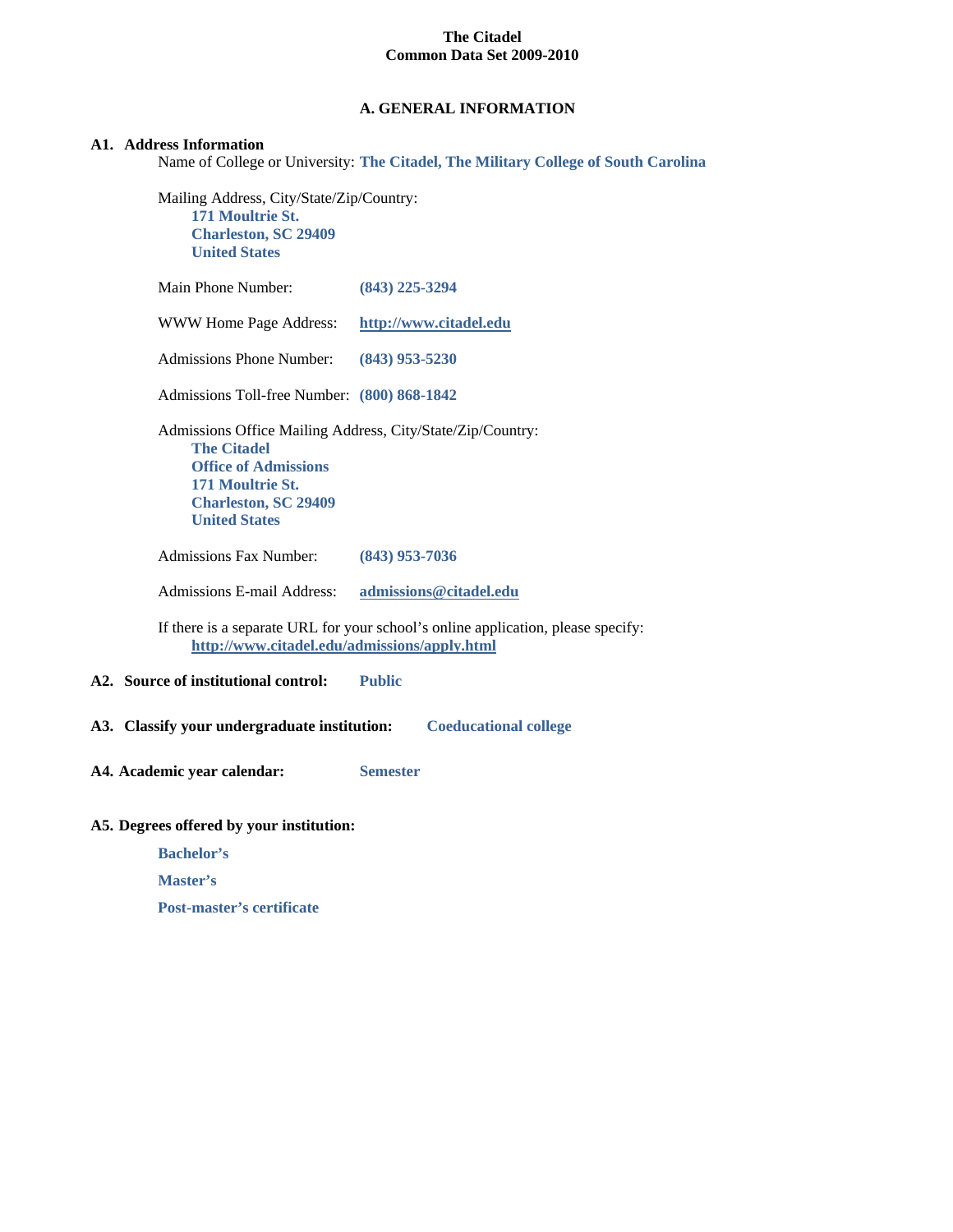## **A. GENERAL INFORMATION**

### **A1. Address Information**

Name of College or University: **The Citadel, The Military College of South Carolina**

Mailing Address, City/State/Zip/Country: **171 Moultrie St. Charleston, SC 29409 United States**

| Main Phone Number:                                                                                                                                                                         | $(843)$ 225-3294                                                                 |
|--------------------------------------------------------------------------------------------------------------------------------------------------------------------------------------------|----------------------------------------------------------------------------------|
| WWW Home Page Address:                                                                                                                                                                     | http://www.citadel.edu                                                           |
| <b>Admissions Phone Number:</b>                                                                                                                                                            | $(843)$ 953-5230                                                                 |
| Admissions Toll-free Number: (800) 868-1842                                                                                                                                                |                                                                                  |
| Admissions Office Mailing Address, City/State/Zip/Country:<br><b>The Citadel</b><br><b>Office of Admissions</b><br>171 Moultrie St.<br><b>Charleston, SC 29409</b><br><b>United States</b> |                                                                                  |
| <b>Admissions Fax Number:</b>                                                                                                                                                              | $(843)$ 953-7036                                                                 |
| Admissions E-mail Address:                                                                                                                                                                 | admissions@citadel.edu                                                           |
| http://www.citadel.edu/admissions/apply.html                                                                                                                                               | If there is a separate URL for your school's online application, please specify: |
| A2. Source of institutional control:                                                                                                                                                       | <b>Public</b>                                                                    |
| A3. Classify your undergraduate institution:                                                                                                                                               | <b>Coeducational college</b>                                                     |
| A4. Academic year calendar:                                                                                                                                                                | <b>Semester</b>                                                                  |
| A5. Degrees offered by your institution:<br><b>Bachelor's</b>                                                                                                                              |                                                                                  |

**Master's**

**Post-master's certificate**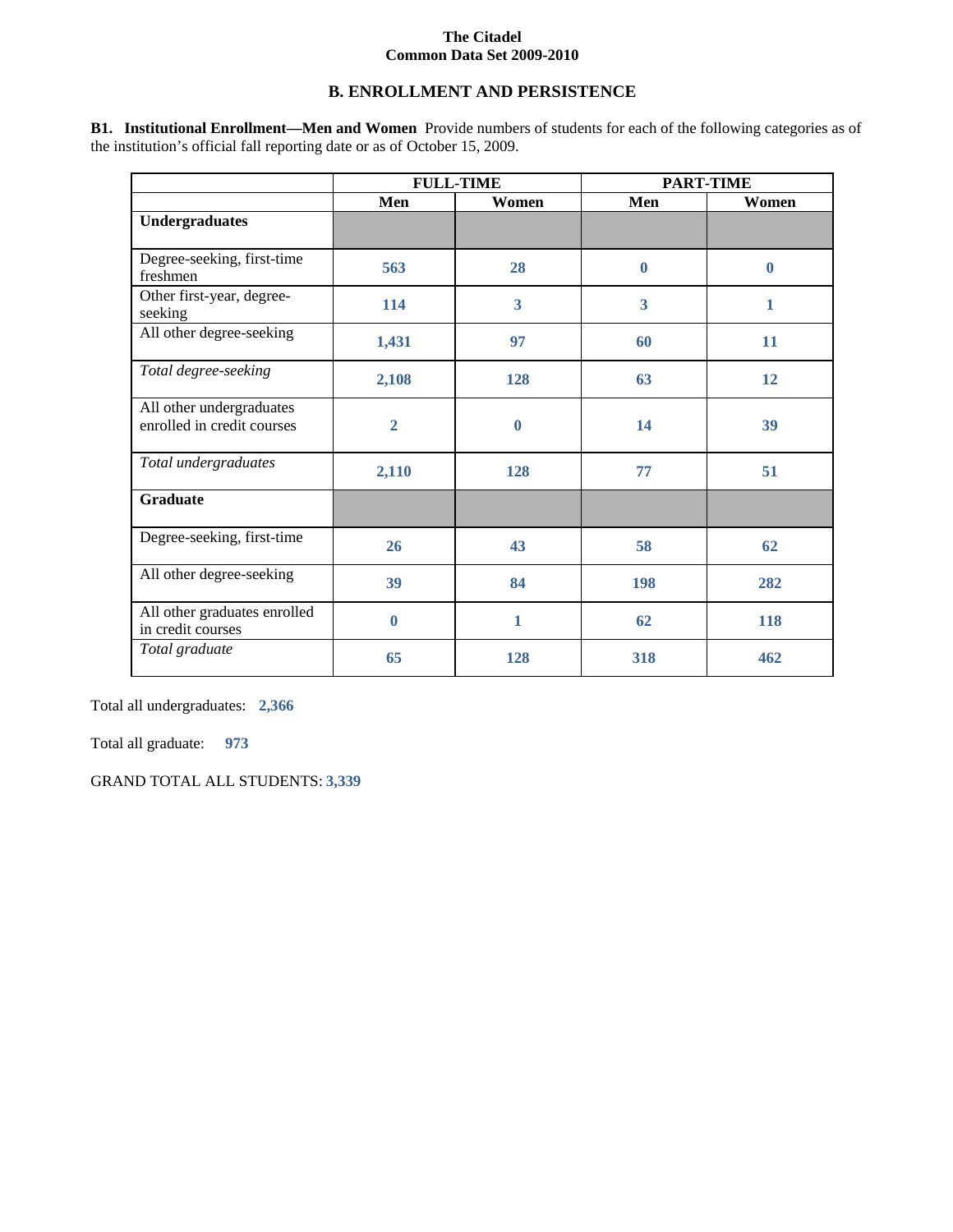## **B. ENROLLMENT AND PERSISTENCE**

**B1. Institutional Enrollment—Men and Women** Provide numbers of students for each of the following categories as of the institution's official fall reporting date or as of October 15, 2009.

|                                                        | <b>FULL-TIME</b> |                         | <b>PART-TIME</b>        |              |  |
|--------------------------------------------------------|------------------|-------------------------|-------------------------|--------------|--|
|                                                        | Men              | Women                   |                         | Women        |  |
| <b>Undergraduates</b>                                  |                  |                         |                         |              |  |
| Degree-seeking, first-time<br>freshmen                 | 563              | 28                      | $\bf{0}$                | $\mathbf{0}$ |  |
| Other first-year, degree-<br>seeking                   | 114              | $\overline{\mathbf{3}}$ | $\overline{\mathbf{3}}$ | 1            |  |
| All other degree-seeking                               | 1,431            | 97                      | 60                      | 11           |  |
| Total degree-seeking                                   | 2,108            | 128                     | 63                      | 12           |  |
| All other undergraduates<br>enrolled in credit courses | $\overline{2}$   | $\bf{0}$                | 14                      | 39           |  |
| Total undergraduates                                   | 2,110            | 128                     | 77                      | 51           |  |
| <b>Graduate</b>                                        |                  |                         |                         |              |  |
| Degree-seeking, first-time                             | 26               | 43                      | 58                      | 62           |  |
| All other degree-seeking                               | 39               | 84                      | 198                     | 282          |  |
| All other graduates enrolled<br>in credit courses      | 0                | 1                       | 62                      | 118          |  |
| Total graduate                                         | 65               | 128                     | 318                     | 462          |  |

Total all undergraduates: **2,366**

Total all graduate: **973**

GRAND TOTAL ALL STUDENTS: **3,339**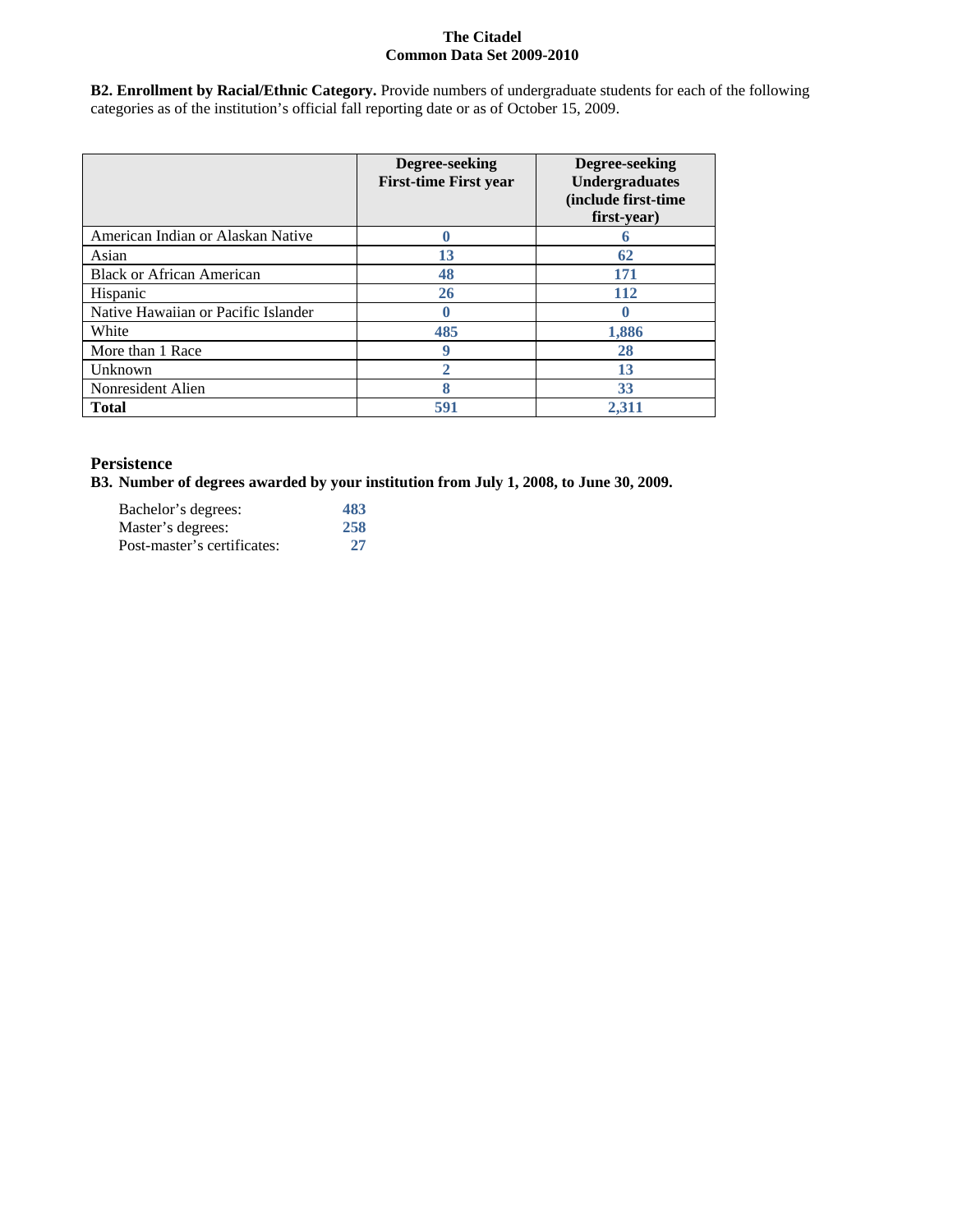**B2. Enrollment by Racial/Ethnic Category.** Provide numbers of undergraduate students for each of the following categories as of the institution's official fall reporting date or as of October 15, 2009.

|                                     | Degree-seeking<br><b>First-time First year</b> | Degree-seeking<br><b>Undergraduates</b><br>(include first-time<br>first-year) |
|-------------------------------------|------------------------------------------------|-------------------------------------------------------------------------------|
| American Indian or Alaskan Native   |                                                |                                                                               |
| Asian                               | 13                                             | 62                                                                            |
| <b>Black or African American</b>    | 48                                             | 171                                                                           |
| Hispanic                            | 26                                             | <b>112</b>                                                                    |
| Native Hawaiian or Pacific Islander |                                                |                                                                               |
| White                               | 485                                            | 1,886                                                                         |
| More than 1 Race                    | 9                                              | 28                                                                            |
| Unknown                             |                                                | 13                                                                            |
| Nonresident Alien                   | 8                                              | 33                                                                            |
| <b>Total</b>                        | 591                                            | 2.311                                                                         |

# **Persistence**

**B3. Number of degrees awarded by your institution from July 1, 2008, to June 30, 2009.**

| Bachelor's degrees:         | 483 |
|-----------------------------|-----|
| Master's degrees:           | 258 |
| Post-master's certificates: | 27  |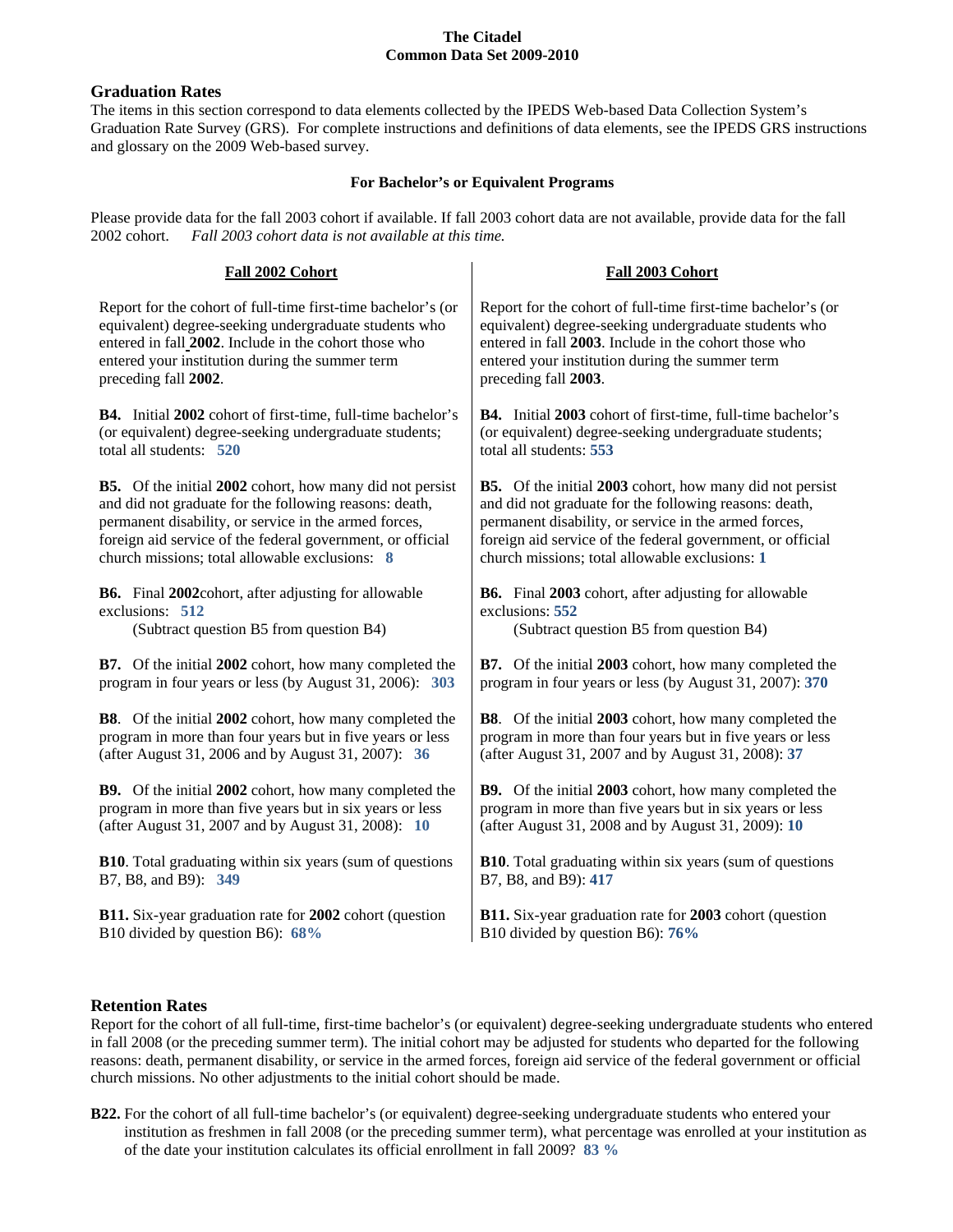## **Graduation Rates**

The items in this section correspond to data elements collected by the IPEDS Web-based Data Collection System's Graduation Rate Survey (GRS). For complete instructions and definitions of data elements, see the IPEDS GRS instructions and glossary on the 2009 Web-based survey.

## **For Bachelor's or Equivalent Programs**

Please provide data for the fall 2003 cohort if available. If fall 2003 cohort data are not available, provide data for the fall 2002 cohort. *Fall 2003 cohort data is not available at this time.*

| Fall 2002 Cohort                                                | Fall 2003 Cohort                                                 |
|-----------------------------------------------------------------|------------------------------------------------------------------|
| Report for the cohort of full-time first-time bachelor's (or    | Report for the cohort of full-time first-time bachelor's (or     |
| equivalent) degree-seeking undergraduate students who           | equivalent) degree-seeking undergraduate students who            |
| entered in fall 2002. Include in the cohort those who           | entered in fall 2003. Include in the cohort those who            |
| entered your institution during the summer term                 | entered your institution during the summer term                  |
| preceding fall 2002.                                            | preceding fall 2003.                                             |
| B4. Initial 2002 cohort of first-time, full-time bachelor's     | B4. Initial 2003 cohort of first-time, full-time bachelor's      |
| (or equivalent) degree-seeking undergraduate students;          | (or equivalent) degree-seeking undergraduate students;           |
| total all students: 520                                         | total all students: 553                                          |
| <b>B5.</b> Of the initial 2002 cohort, how many did not persist | <b>B5.</b> Of the initial 2003 cohort, how many did not persist  |
| and did not graduate for the following reasons: death,          | and did not graduate for the following reasons: death,           |
| permanent disability, or service in the armed forces,           | permanent disability, or service in the armed forces,            |
| foreign aid service of the federal government, or official      | foreign aid service of the federal government, or official       |
| church missions; total allowable exclusions: 8                  | church missions; total allowable exclusions: 1                   |
| <b>B6.</b> Final 2002cohort, after adjusting for allowable      | <b>B6.</b> Final 2003 cohort, after adjusting for allowable      |
| exclusions: 512                                                 | exclusions: 552                                                  |
| (Subtract question B5 from question B4)                         | (Subtract question B5 from question B4)                          |
| <b>B7.</b> Of the initial 2002 cohort, how many completed the   | <b>B7.</b> Of the initial 2003 cohort, how many completed the    |
| program in four years or less (by August 31, 2006): 303         | program in four years or less (by August 31, 2007): 370          |
| <b>B8</b> . Of the initial 2002 cohort, how many completed the  | <b>B8</b> . Of the initial 2003 cohort, how many completed the   |
| program in more than four years but in five years or less       | program in more than four years but in five years or less        |
| (after August 31, 2006 and by August 31, 2007): 36              | (after August 31, 2007 and by August 31, 2008): 37               |
| <b>B9.</b> Of the initial 2002 cohort, how many completed the   | <b>B9.</b> Of the initial 2003 cohort, how many completed the    |
| program in more than five years but in six years or less        | program in more than five years but in six years or less         |
| (after August 31, 2007 and by August 31, 2008): 10              | (after August 31, 2008 and by August 31, 2009): 10               |
| <b>B10.</b> Total graduating within six years (sum of questions | <b>B10</b> . Total graduating within six years (sum of questions |
| B7, B8, and B9): 349                                            | B7, B8, and B9): 417                                             |
| B11. Six-year graduation rate for 2002 cohort (question         | B11. Six-year graduation rate for 2003 cohort (question          |
| B10 divided by question B6): 68%                                | B10 divided by question B6): 76%                                 |

# **Retention Rates**

Report for the cohort of all full-time, first-time bachelor's (or equivalent) degree-seeking undergraduate students who entered in fall 2008 (or the preceding summer term). The initial cohort may be adjusted for students who departed for the following reasons: death, permanent disability, or service in the armed forces, foreign aid service of the federal government or official church missions. No other adjustments to the initial cohort should be made.

**B22.** For the cohort of all full-time bachelor's (or equivalent) degree-seeking undergraduate students who entered your institution as freshmen in fall 2008 (or the preceding summer term), what percentage was enrolled at your institution as of the date your institution calculates its official enrollment in fall 2009? **83 %**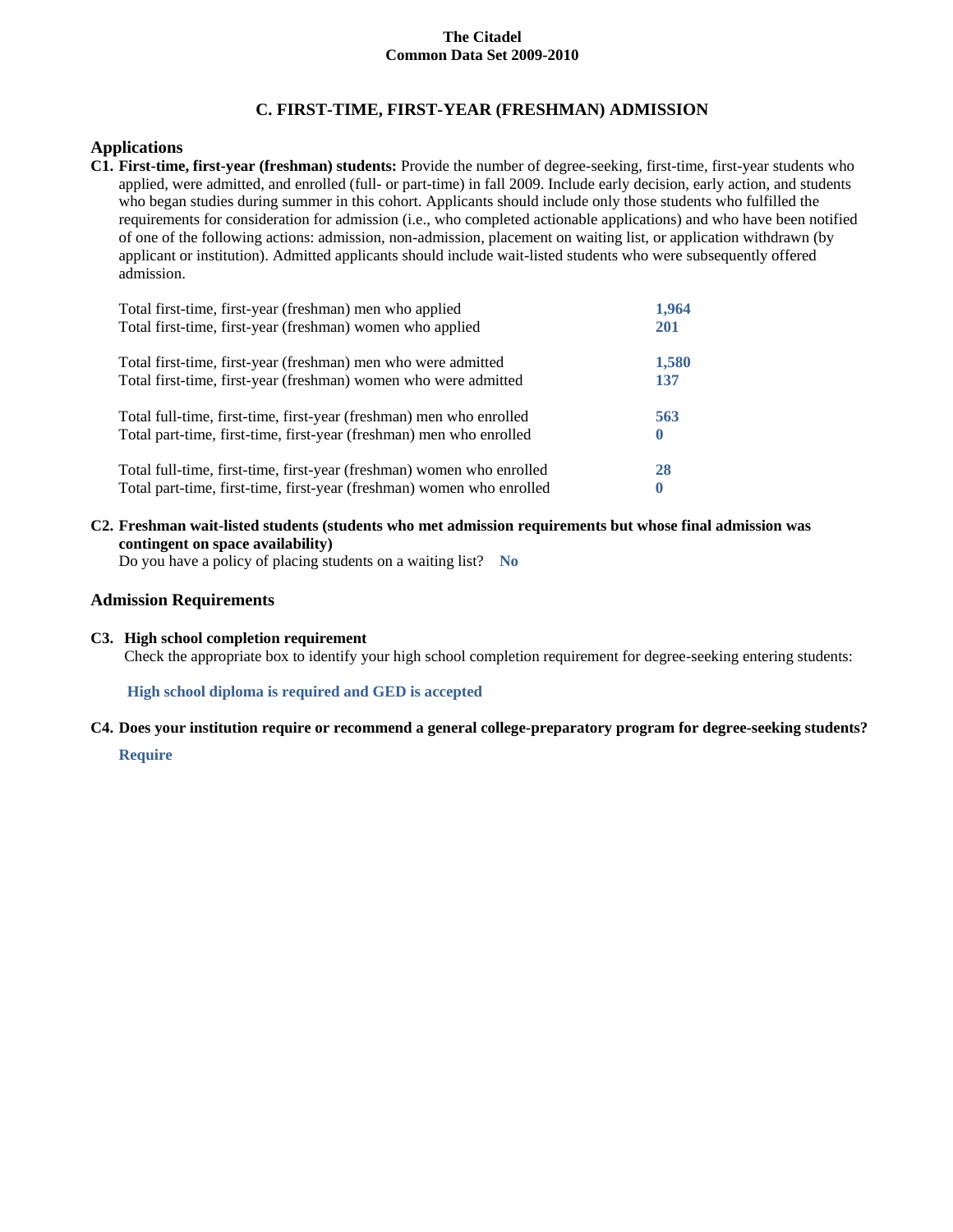# **C. FIRST-TIME, FIRST-YEAR (FRESHMAN) ADMISSION**

## **Applications**

**C1. First-time, first-year (freshman) students:** Provide the number of degree-seeking, first-time, first-year students who applied, were admitted, and enrolled (full- or part-time) in fall 2009. Include early decision, early action, and students who began studies during summer in this cohort. Applicants should include only those students who fulfilled the requirements for consideration for admission (i.e., who completed actionable applications) and who have been notified of one of the following actions: admission, non-admission, placement on waiting list, or application withdrawn (by applicant or institution). Admitted applicants should include wait-listed students who were subsequently offered admission.

| Total first-time, first-year (freshman) men who applied               | 1.964      |
|-----------------------------------------------------------------------|------------|
| Total first-time, first-year (freshman) women who applied             | <b>201</b> |
| Total first-time, first-year (freshman) men who were admitted         | 1,580      |
| Total first-time, first-year (freshman) women who were admitted       | 137        |
| Total full-time, first-time, first-year (freshman) men who enrolled   | 563        |
| Total part-time, first-time, first-year (freshman) men who enrolled   | $\bf{0}$   |
| Total full-time, first-time, first-year (freshman) women who enrolled | 28         |
| Total part-time, first-time, first-year (freshman) women who enrolled | $\bf{0}$   |

**C2. Freshman wait-listed students (students who met admission requirements but whose final admission was contingent on space availability)**

Do you have a policy of placing students on a waiting list? **No**

## **Admission Requirements**

**C3. High school completion requirement**

Check the appropriate box to identify your high school completion requirement for degree-seeking entering students:

**High school diploma is required and GED is accepted**

**C4. Does your institution require or recommend a general college-preparatory program for degree-seeking students?**

**Require**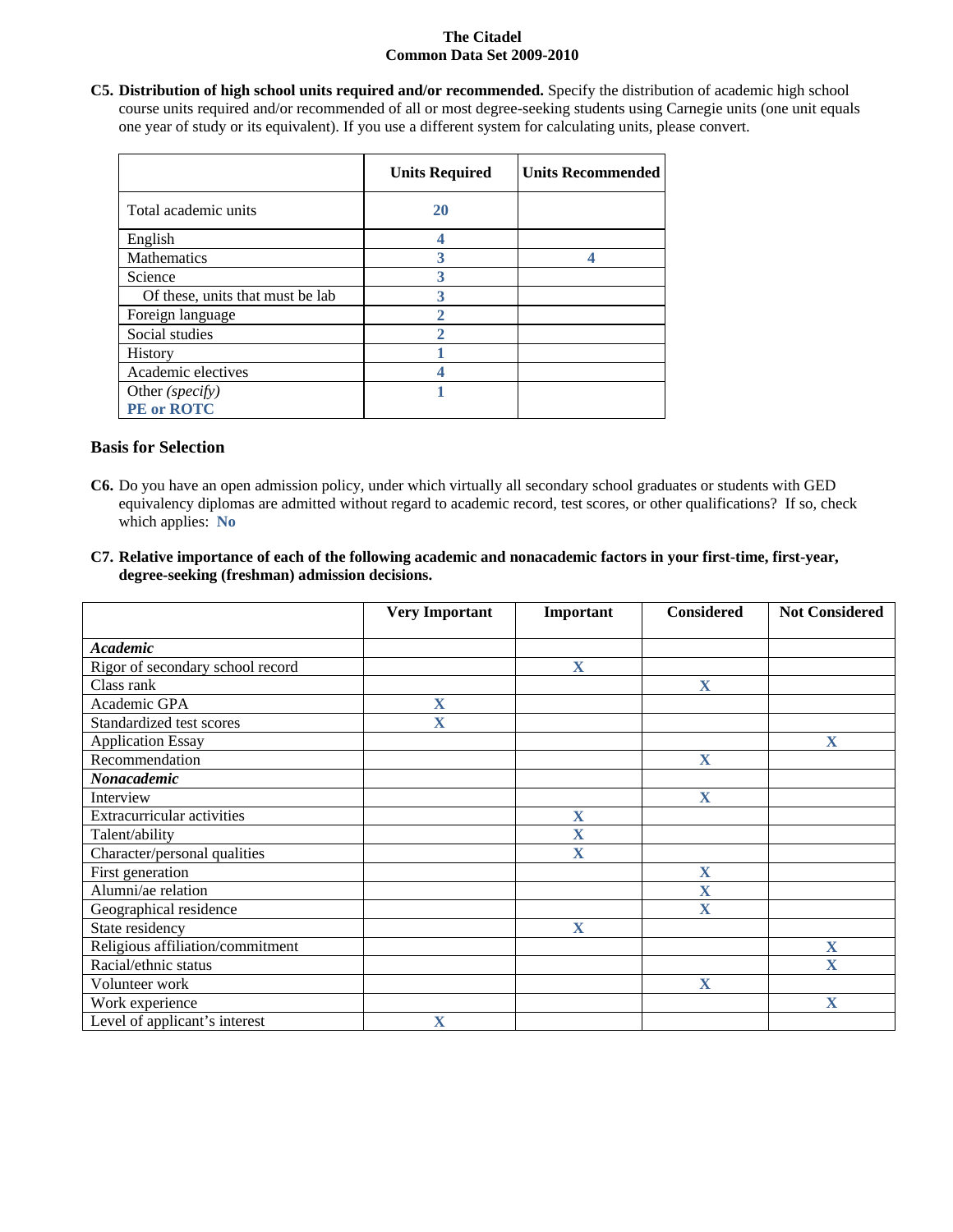**C5. Distribution of high school units required and/or recommended.** Specify the distribution of academic high school course units required and/or recommended of all or most degree-seeking students using Carnegie units (one unit equals one year of study or its equivalent). If you use a different system for calculating units, please convert.

|                                  | <b>Units Required</b> | <b>Units Recommended</b> |
|----------------------------------|-----------------------|--------------------------|
| Total academic units             | <b>20</b>             |                          |
| English                          |                       |                          |
| Mathematics                      |                       |                          |
| Science                          | 3                     |                          |
| Of these, units that must be lab | 3                     |                          |
| Foreign language                 |                       |                          |
| Social studies                   |                       |                          |
| History                          |                       |                          |
| Academic electives               |                       |                          |
| Other (specify)                  |                       |                          |
| PE or ROTC                       |                       |                          |

## **Basis for Selection**

- **C6.** Do you have an open admission policy, under which virtually all secondary school graduates or students with GED equivalency diplomas are admitted without regard to academic record, test scores, or other qualifications? If so, check which applies: **No**
- **C7. Relative importance of each of the following academic and nonacademic factors in your first-time, first-year, degree-seeking (freshman) admission decisions.**

|                                   | <b>Very Important</b> | Important               | <b>Considered</b>       | <b>Not Considered</b> |
|-----------------------------------|-----------------------|-------------------------|-------------------------|-----------------------|
|                                   |                       |                         |                         |                       |
| <b>Academic</b>                   |                       |                         |                         |                       |
| Rigor of secondary school record  |                       | $\mathbf X$             |                         |                       |
| Class rank                        |                       |                         | $\mathbf X$             |                       |
| Academic GPA                      | X                     |                         |                         |                       |
| Standardized test scores          | X                     |                         |                         |                       |
| <b>Application Essay</b>          |                       |                         |                         | $\mathbf X$           |
| Recommendation                    |                       |                         | $\mathbf X$             |                       |
| Nonacademic                       |                       |                         |                         |                       |
| Interview                         |                       |                         | X                       |                       |
| <b>Extracurricular activities</b> |                       | $\mathbf X$             |                         |                       |
| Talent/ability                    |                       | X                       |                         |                       |
| Character/personal qualities      |                       | $\overline{\mathbf{X}}$ |                         |                       |
| First generation                  |                       |                         | $\mathbf X$             |                       |
| Alumni/ae relation                |                       |                         | $\overline{\mathbf{X}}$ |                       |
| Geographical residence            |                       |                         | X                       |                       |
| State residency                   |                       | X                       |                         |                       |
| Religious affiliation/commitment  |                       |                         |                         | $\mathbf X$           |
| Racial/ethnic status              |                       |                         |                         | $\mathbf X$           |
| Volunteer work                    |                       |                         | $\mathbf X$             |                       |
| Work experience                   |                       |                         |                         | $\mathbf X$           |
| Level of applicant's interest     | X                     |                         |                         |                       |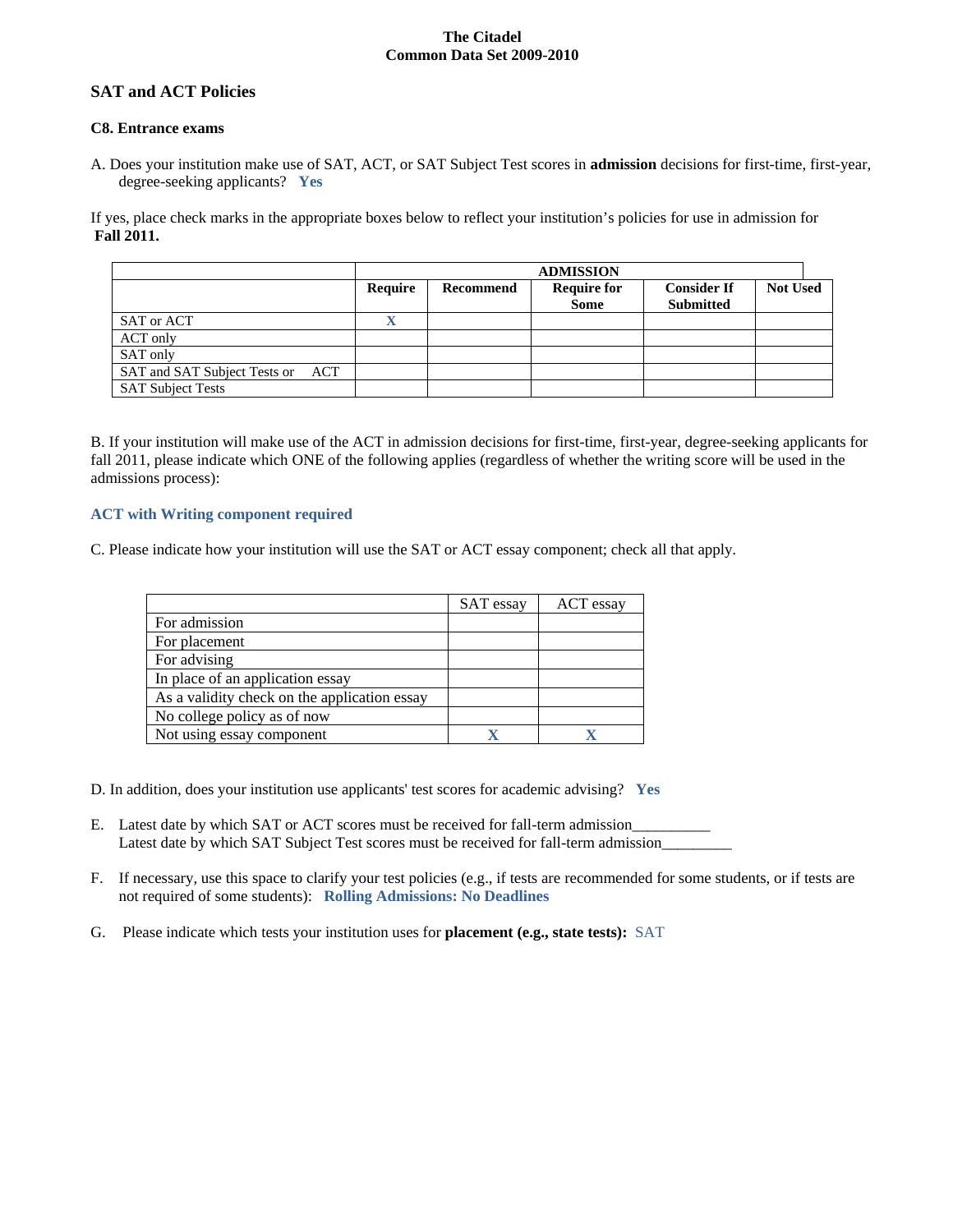## **SAT and ACT Policies**

#### **C8. Entrance exams**

A. Does your institution make use of SAT, ACT, or SAT Subject Test scores in **admission** decisions for first-time, first-year, degree-seeking applicants? **Yes**

If yes, place check marks in the appropriate boxes below to reflect your institution's policies for use in admission for **Fall 2011.**

|                                     |         | <b>ADMISSION</b> |                                   |                                        |                 |
|-------------------------------------|---------|------------------|-----------------------------------|----------------------------------------|-----------------|
|                                     | Require | Recommend        | <b>Require for</b><br><b>Some</b> | <b>Consider If</b><br><b>Submitted</b> | <b>Not Used</b> |
| SAT or ACT                          |         |                  |                                   |                                        |                 |
| ACT only                            |         |                  |                                   |                                        |                 |
| SAT only                            |         |                  |                                   |                                        |                 |
| SAT and SAT Subject Tests or<br>ACT |         |                  |                                   |                                        |                 |
| <b>SAT Subject Tests</b>            |         |                  |                                   |                                        |                 |

B. If your institution will make use of the ACT in admission decisions for first-time, first-year, degree-seeking applicants for fall 2011, please indicate which ONE of the following applies (regardless of whether the writing score will be used in the admissions process):

#### **ACT with Writing component required**

C. Please indicate how your institution will use the SAT or ACT essay component; check all that apply.

|                                              | SAT essay | ACT essay |
|----------------------------------------------|-----------|-----------|
| For admission                                |           |           |
| For placement                                |           |           |
| For advising                                 |           |           |
| In place of an application essay             |           |           |
| As a validity check on the application essay |           |           |
| No college policy as of now                  |           |           |
| Not using essay component                    |           |           |

- D. In addition, does your institution use applicants' test scores for academic advising? **Yes**
- E. Latest date by which SAT or ACT scores must be received for fall-term admission\_\_\_\_\_\_\_\_\_\_ Latest date by which SAT Subject Test scores must be received for fall-term admission\_\_\_\_\_\_\_\_\_\_\_\_\_\_\_\_\_\_\_\_\_\_\_\_\_
- F. If necessary, use this space to clarify your test policies (e.g., if tests are recommended for some students, or if tests are not required of some students): **Rolling Admissions: No Deadlines**
- G. Please indicate which tests your institution uses for **placement (e.g., state tests):** SAT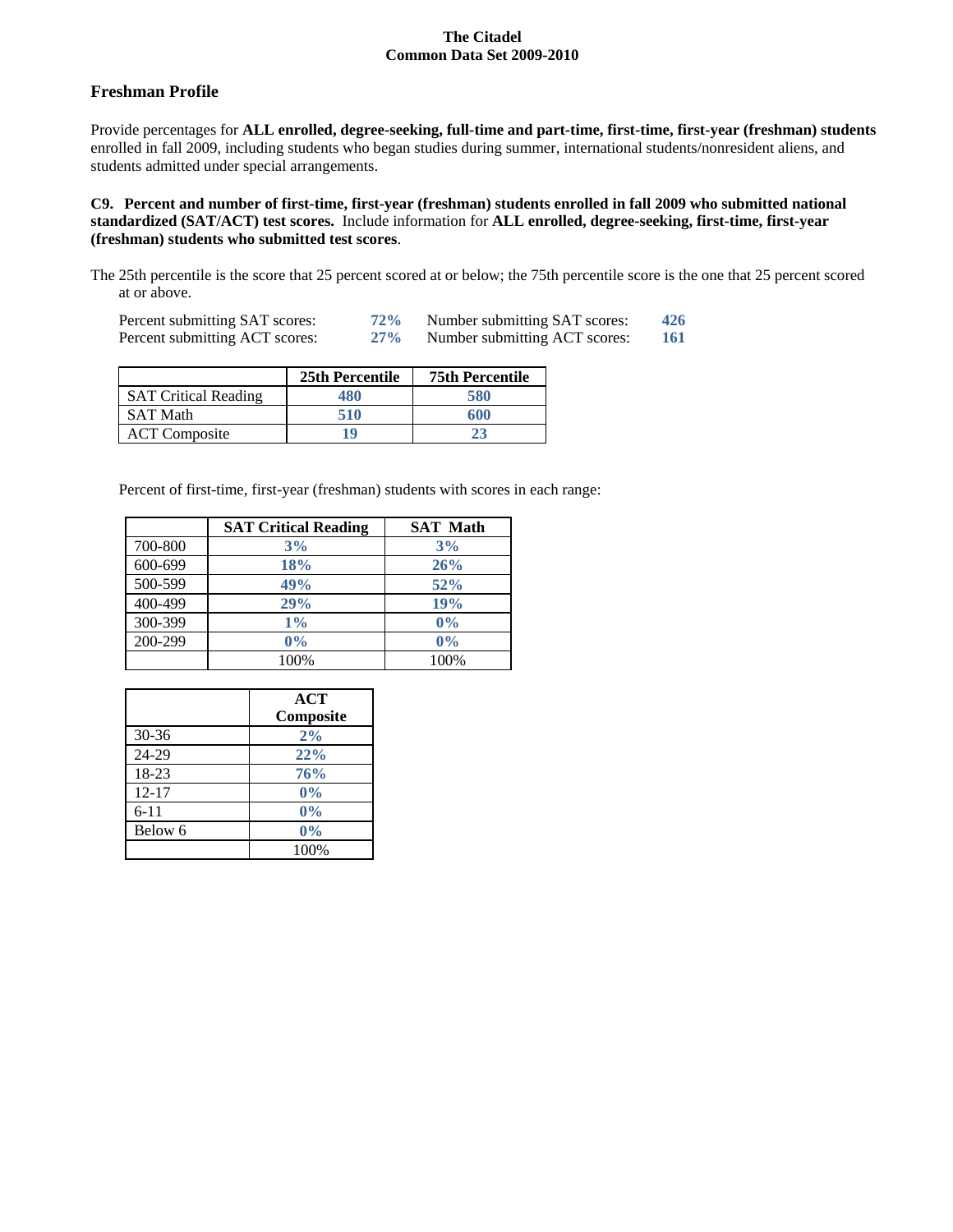## **Freshman Profile**

Provide percentages for **ALL enrolled, degree-seeking, full-time and part-time, first-time, first-year (freshman) students**  enrolled in fall 2009, including students who began studies during summer, international students/nonresident aliens, and students admitted under special arrangements.

**C9. Percent and number of first-time, first-year (freshman) students enrolled in fall 2009 who submitted national standardized (SAT/ACT) test scores.** Include information for **ALL enrolled, degree-seeking, first-time, first-year (freshman) students who submitted test scores**.

The 25th percentile is the score that 25 percent scored at or below; the 75th percentile score is the one that 25 percent scored at or above.

| Percent submitting SAT scores: | 72%    | Number submitting SAT scores: | 426 |
|--------------------------------|--------|-------------------------------|-----|
| Percent submitting ACT scores: | $27\%$ | Number submitting ACT scores: | 161 |

|                             | 25th Percentile | <b>75th Percentile</b> |
|-----------------------------|-----------------|------------------------|
| <b>SAT Critical Reading</b> | 480             | 580                    |
| <b>SAT Math</b>             | 510             | 600                    |
| <b>ACT</b> Composite        | 19              | 23                     |

Percent of first-time, first-year (freshman) students with scores in each range:

|         | <b>SAT Critical Reading</b> | <b>SAT Math</b> |
|---------|-----------------------------|-----------------|
| 700-800 | 3%                          | 3%              |
| 600-699 | 18%                         | 26%             |
| 500-599 | 49%                         | 52%             |
| 400-499 | 29%                         | 19%             |
| 300-399 | $1\%$                       | 0%              |
| 200-299 | 0%                          | 0%              |
|         | 100%                        | 100%            |

|           | <b>ACT</b><br>Composite |
|-----------|-------------------------|
| 30-36     | 2%                      |
| 24-29     | 22%                     |
| 18-23     | 76%                     |
| $12 - 17$ | 0%                      |
| $6 - 11$  | 0%                      |
| Below 6   | 0%                      |
|           | 100%                    |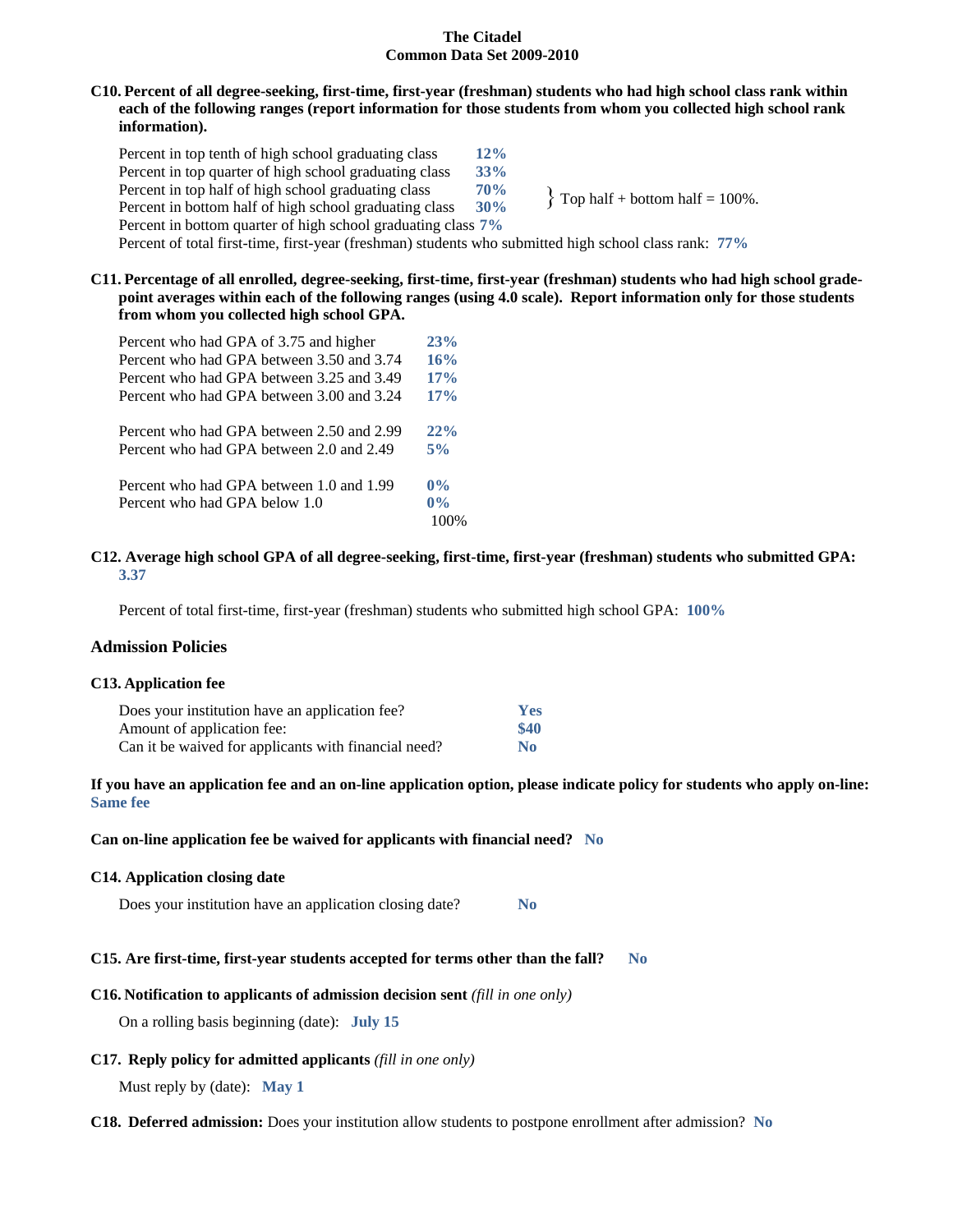## **C10. Percent of all degree-seeking, first-time, first-year (freshman) students who had high school class rank within each of the following ranges (report information for those students from whom you collected high school rank information).**

Percent in top tenth of high school graduating class **12%** Percent in top quarter of high school graduating class **33%** Percent in top half of high school graduating class **70%**<br>Percent in bottom half of high school graduating class **30%** Percent in bottom half of high school graduating class Percent in bottom quarter of high school graduating class **7%** Percent of total first-time, first-year (freshman) students who submitted high school class rank: **77%**  $\{$  Top half + bottom half = 100%.

#### **C11. Percentage of all enrolled, degree-seeking, first-time, first-year (freshman) students who had high school gradepoint averages within each of the following ranges (using 4.0 scale). Report information only for those students from whom you collected high school GPA.**

| Percent who had GPA of 3.75 and higher    | 23%   |
|-------------------------------------------|-------|
| Percent who had GPA between 3.50 and 3.74 | 16%   |
| Percent who had GPA between 3.25 and 3.49 | 17%   |
| Percent who had GPA between 3.00 and 3.24 | 17%   |
| Percent who had GPA between 2.50 and 2.99 | 22%   |
| Percent who had GPA between 2.0 and 2.49  | 5%    |
| Percent who had GPA between 1.0 and 1.99  | $0\%$ |
| Percent who had GPA below 1.0             | $0\%$ |
|                                           |       |

#### **C12. Average high school GPA of all degree-seeking, first-time, first-year (freshman) students who submitted GPA: 3.37**

Percent of total first-time, first-year (freshman) students who submitted high school GPA: **100%**

## **Admission Policies**

#### **C13. Application fee**

| Does your institution have an application fee?       | Yes  |
|------------------------------------------------------|------|
| Amount of application fee:                           | \$40 |
| Can it be waived for applicants with financial need? | No.  |

#### **If you have an application fee and an on-line application option, please indicate policy for students who apply on-line: Same fee**

#### **Can on-line application fee be waived for applicants with financial need? No**

#### **C14. Application closing date**

Does your institution have an application closing date? **No**

## **C15. Are first-time, first-year students accepted for terms other than the fall? No**

#### **C16. Notification to applicants of admission decision sent** *(fill in one only)*

On a rolling basis beginning (date): **July 15**

## **C17. Reply policy for admitted applicants** *(fill in one only)*

Must reply by (date): **May 1**

#### **C18. Deferred admission:** Does your institution allow students to postpone enrollment after admission? **No**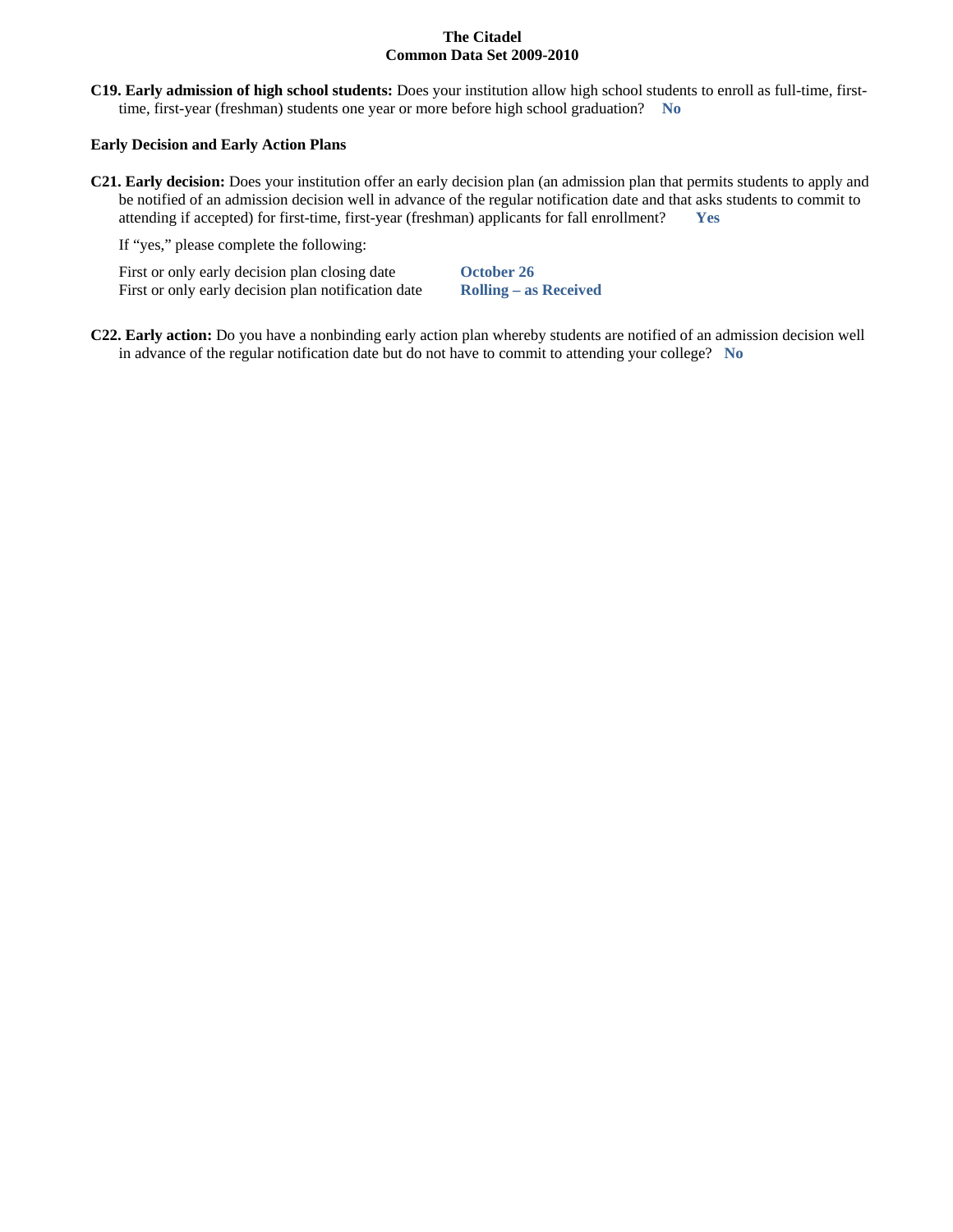**C19. Early admission of high school students:** Does your institution allow high school students to enroll as full-time, firsttime, first-year (freshman) students one year or more before high school graduation? **No**

#### **Early Decision and Early Action Plans**

**C21. Early decision:** Does your institution offer an early decision plan (an admission plan that permits students to apply and be notified of an admission decision well in advance of the regular notification date and that asks students to commit to attending if accepted) for first-time, first-year (freshman) applicants for fall enrollment? **Yes**

If "yes," please complete the following:

First or only early decision plan closing date **October 26** First or only early decision plan notification date **Rolling – as Received**

**C22. Early action:** Do you have a nonbinding early action plan whereby students are notified of an admission decision well in advance of the regular notification date but do not have to commit to attending your college? **No**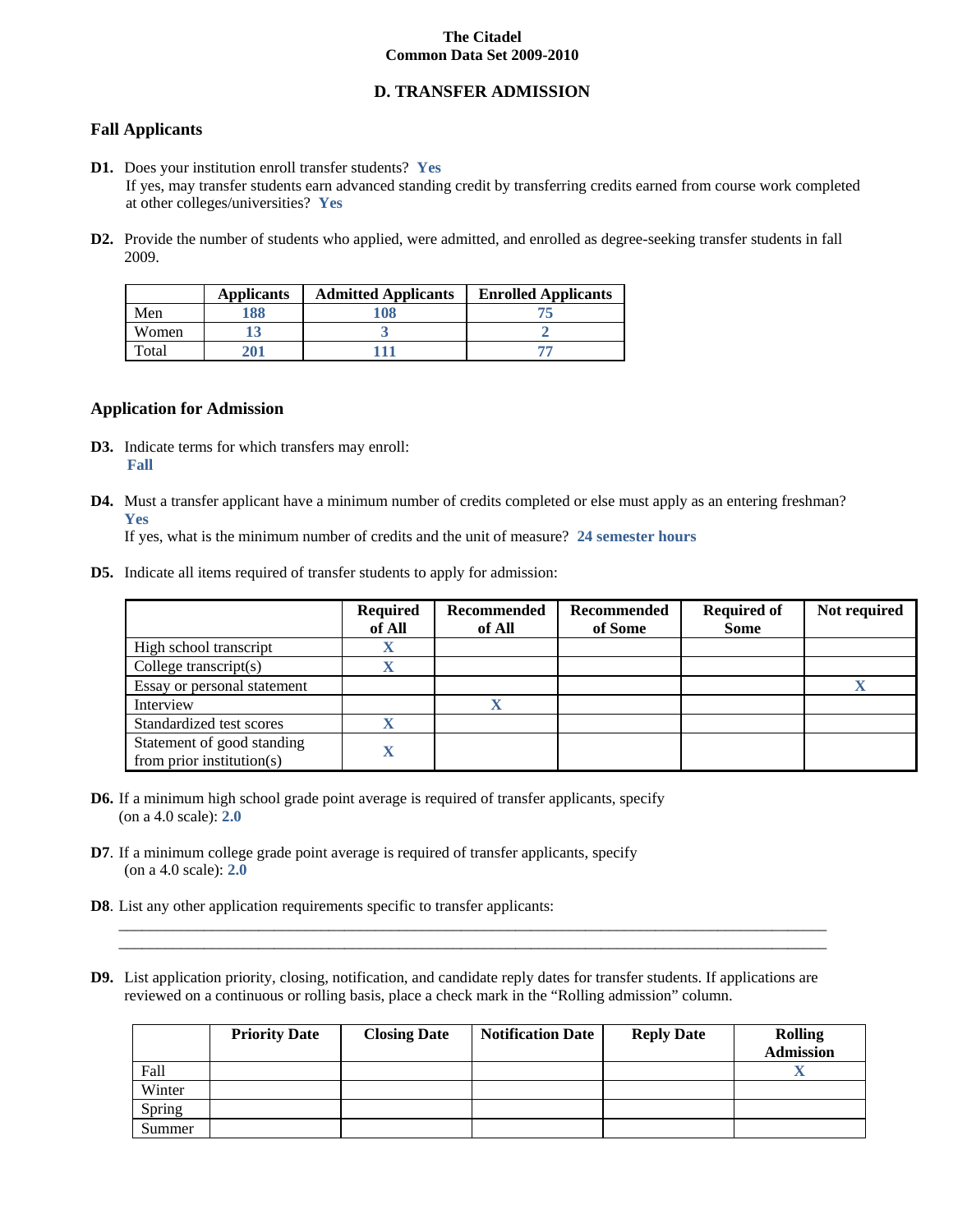## **D. TRANSFER ADMISSION**

# **Fall Applicants**

- **D1.** Does your institution enroll transfer students? **Yes** If yes, may transfer students earn advanced standing credit by transferring credits earned from course work completed at other colleges/universities? **Yes**
- **D2.** Provide the number of students who applied, were admitted, and enrolled as degree-seeking transfer students in fall 2009.

|       | <b>Applicants</b> | <b>Admitted Applicants</b> | <b>Enrolled Applicants</b> |
|-------|-------------------|----------------------------|----------------------------|
| Men   | 188               | 108                        |                            |
| Women |                   |                            |                            |
| rotal |                   |                            |                            |

#### **Application for Admission**

- **D3.** Indicate terms for which transfers may enroll: **Fall**
- **D4.** Must a transfer applicant have a minimum number of credits completed or else must apply as an entering freshman? **Yes**

If yes, what is the minimum number of credits and the unit of measure? **24 semester hours**

**D5.** Indicate all items required of transfer students to apply for admission:

|                                                         | <b>Required</b><br>of All | Recommended<br>of All | Recommended<br>of Some | <b>Required of</b><br><b>Some</b> | Not required |
|---------------------------------------------------------|---------------------------|-----------------------|------------------------|-----------------------------------|--------------|
| High school transcript                                  | $\Lambda$                 |                       |                        |                                   |              |
| College transcript $(s)$                                |                           |                       |                        |                                   |              |
| Essay or personal statement                             |                           |                       |                        |                                   |              |
| Interview                                               |                           |                       |                        |                                   |              |
| Standardized test scores                                | v                         |                       |                        |                                   |              |
| Statement of good standing<br>from prior institution(s) |                           |                       |                        |                                   |              |

- **D6.** If a minimum high school grade point average is required of transfer applicants, specify (on a 4.0 scale): **2.0**
- **D7**. If a minimum college grade point average is required of transfer applicants, specify (on a 4.0 scale): **2.0**
- **D8**. List any other application requirements specific to transfer applicants:
- **D9.** List application priority, closing, notification, and candidate reply dates for transfer students. If applications are reviewed on a continuous or rolling basis, place a check mark in the "Rolling admission" column.

 $\_$  , and the set of the set of the set of the set of the set of the set of the set of the set of the set of the set of the set of the set of the set of the set of the set of the set of the set of the set of the set of th  $\_$  , and the set of the set of the set of the set of the set of the set of the set of the set of the set of the set of the set of the set of the set of the set of the set of the set of the set of the set of the set of th

|        | <b>Priority Date</b> | <b>Closing Date</b> | <b>Notification Date</b> | <b>Reply Date</b> | <b>Rolling</b><br><b>Admission</b> |
|--------|----------------------|---------------------|--------------------------|-------------------|------------------------------------|
| Fall   |                      |                     |                          |                   |                                    |
| Winter |                      |                     |                          |                   |                                    |
| Spring |                      |                     |                          |                   |                                    |
| Summer |                      |                     |                          |                   |                                    |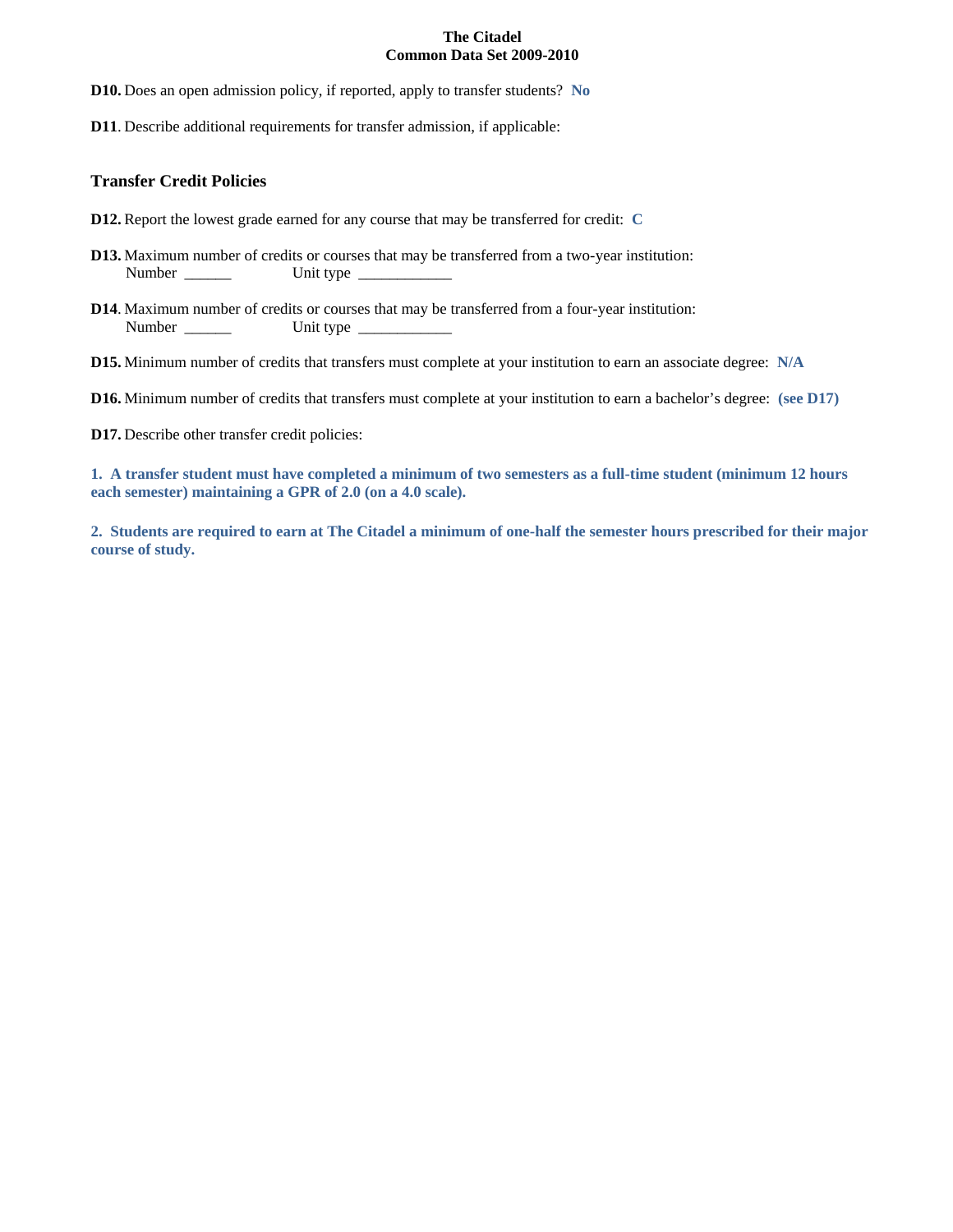**D10.** Does an open admission policy, if reported, apply to transfer students? **No**

**D11**. Describe additional requirements for transfer admission, if applicable:

## **Transfer Credit Policies**

- **D12.** Report the lowest grade earned for any course that may be transferred for credit: **C**
- **D13.** Maximum number of credits or courses that may be transferred from a two-year institution: Number \_\_\_\_\_\_ Unit type \_\_\_\_\_\_\_\_\_\_\_\_
- **D14**. Maximum number of credits or courses that may be transferred from a four-year institution: Number \_\_\_\_\_\_ Unit type \_\_\_\_\_\_\_\_\_\_\_\_

**D15.** Minimum number of credits that transfers must complete at your institution to earn an associate degree: **N/A**

**D16.** Minimum number of credits that transfers must complete at your institution to earn a bachelor's degree: **(see D17)**

**D17.** Describe other transfer credit policies:

**1. A transfer student must have completed a minimum of two semesters as a full-time student (minimum 12 hours each semester) maintaining a GPR of 2.0 (on a 4.0 scale).**

**2. Students are required to earn at The Citadel a minimum of one-half the semester hours prescribed for their major course of study.**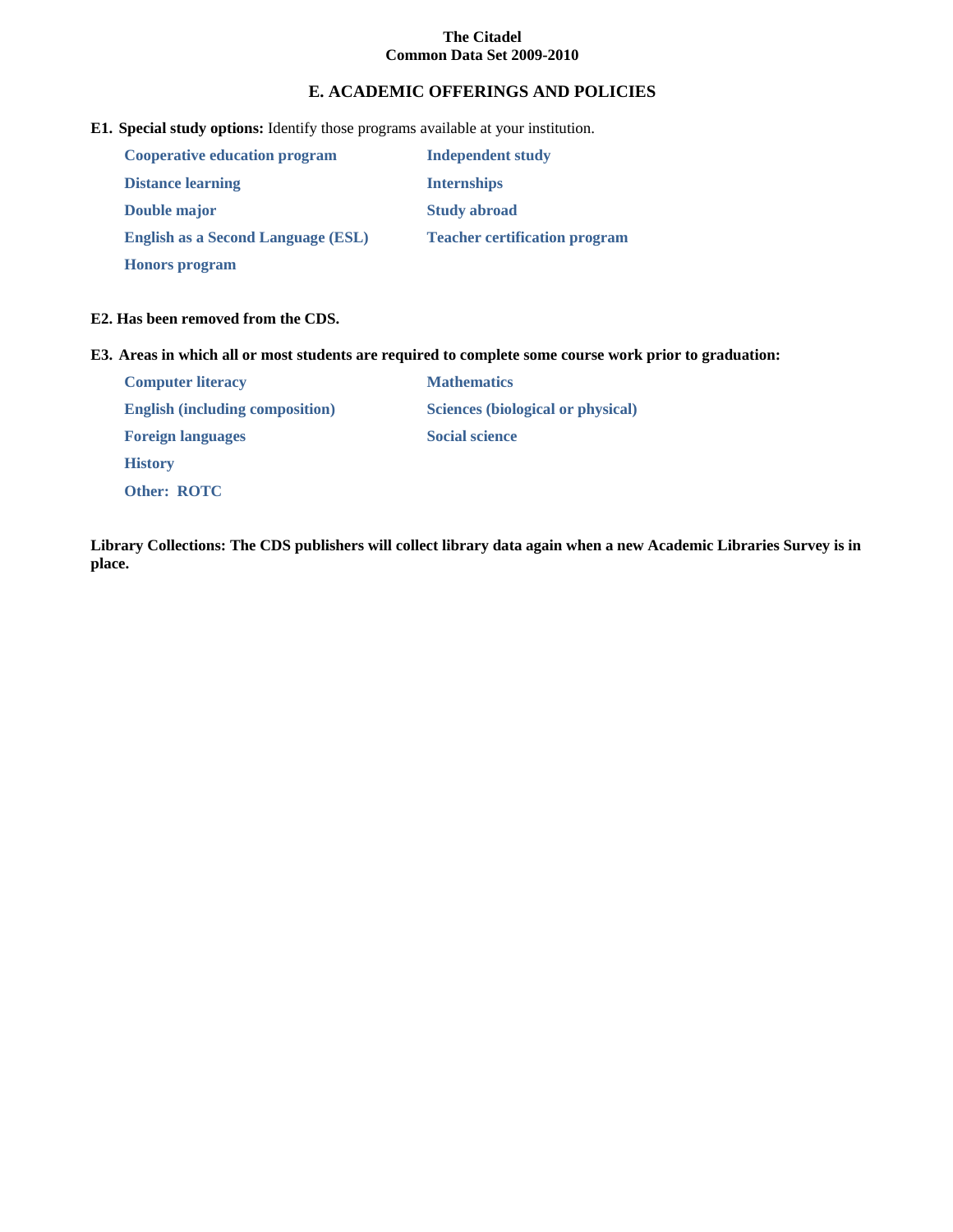# **E. ACADEMIC OFFERINGS AND POLICIES**

**E1. Special study options:** Identify those programs available at your institution.

| Cooperative education program             | <b>Independent study</b>             |
|-------------------------------------------|--------------------------------------|
| <b>Distance learning</b>                  | <b>Internships</b>                   |
| Double major                              | <b>Study abroad</b>                  |
| <b>English as a Second Language (ESL)</b> | <b>Teacher certification program</b> |
| <b>Honors</b> program                     |                                      |

## **E2. Has been removed from the CDS.**

**E3. Areas in which all or most students are required to complete some course work prior to graduation:**

| <b>Computer literacy</b>               | <b>Mathematics</b>                       |
|----------------------------------------|------------------------------------------|
| <b>English (including composition)</b> | <b>Sciences (biological or physical)</b> |
| <b>Foreign languages</b>               | <b>Social science</b>                    |
| <b>History</b>                         |                                          |
| <b>Other: ROTC</b>                     |                                          |

**Library Collections: The CDS publishers will collect library data again when a new Academic Libraries Survey is in place.**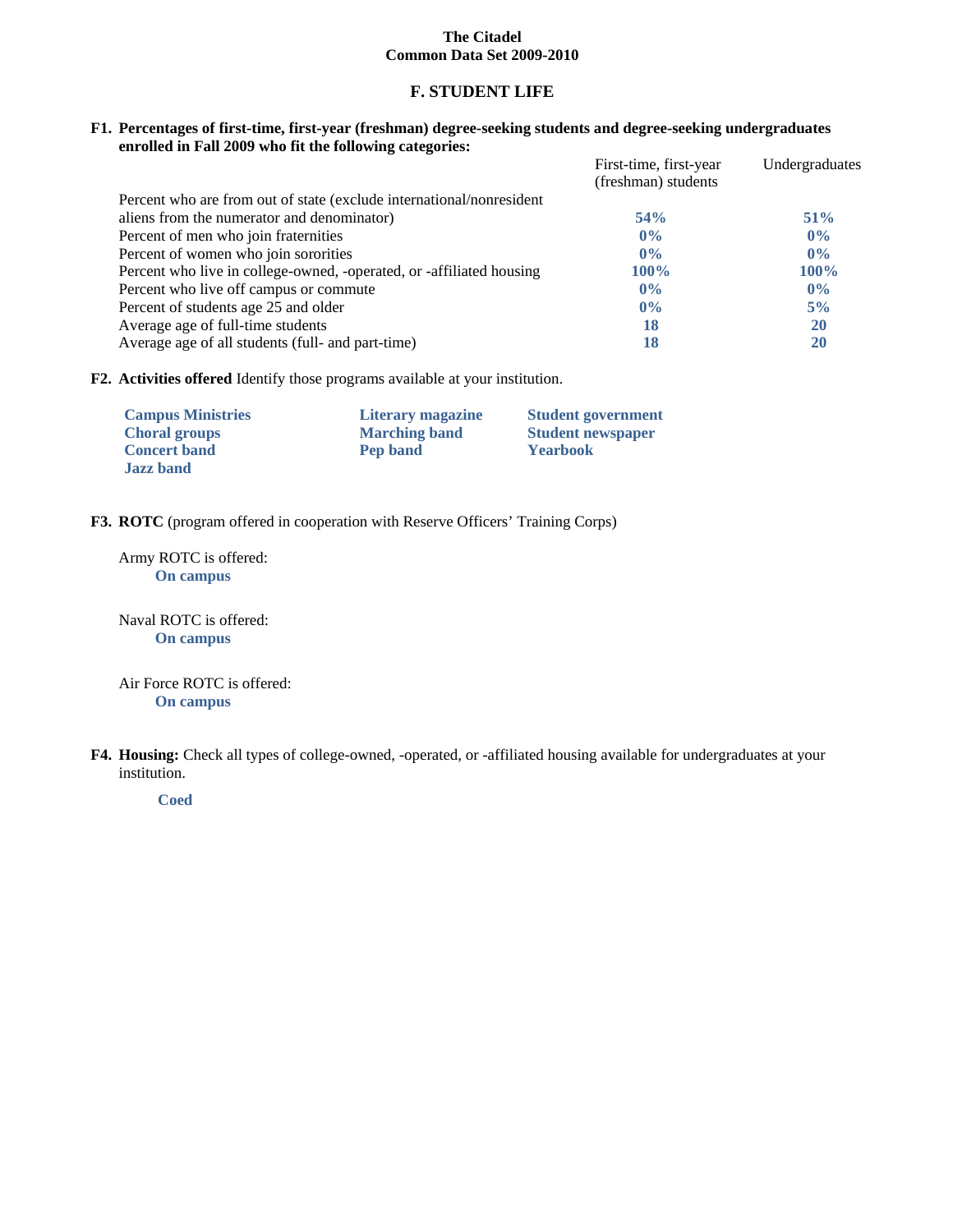## **F. STUDENT LIFE**

#### **F1. Percentages of first-time, first-year (freshman) degree-seeking students and degree-seeking undergraduates enrolled in Fall 2009 who fit the following categories:**

|                                                                      | First-time, first-year | Undergraduates |
|----------------------------------------------------------------------|------------------------|----------------|
|                                                                      | (freshman) students    |                |
| Percent who are from out of state (exclude international/nonresident |                        |                |
| aliens from the numerator and denominator)                           | 54%                    | $51\%$         |
| Percent of men who join fraternities                                 | $0\%$                  | $0\%$          |
| Percent of women who join sororities                                 | $0\%$                  | $0\%$          |
| Percent who live in college-owned, -operated, or -affiliated housing | $100\%$                | $100\%$        |
| Percent who live off campus or commute                               | $0\%$                  | $0\%$          |
| Percent of students age 25 and older                                 | $0\%$                  | 5%             |
| Average age of full-time students                                    | 18                     | <b>20</b>      |
| Average age of all students (full- and part-time)                    | 18                     | 20             |

**F2. Activities offered** Identify those programs available at your institution.

| <b>Campus Ministries</b> | Literary magazine    | <b>Student government</b> |
|--------------------------|----------------------|---------------------------|
| <b>Choral groups</b>     | <b>Marching band</b> | <b>Student newspaper</b>  |
| <b>Concert band</b>      | Pep band             | <b>Yearbook</b>           |
| <b>Jazz</b> band         |                      |                           |

**F3. ROTC** (program offered in cooperation with Reserve Officers' Training Corps)

Army ROTC is offered: **On campus**

Naval ROTC is offered: **On campus**

Air Force ROTC is offered: **On campus**

**F4. Housing:** Check all types of college-owned, -operated, or -affiliated housing available for undergraduates at your institution.

**Coed**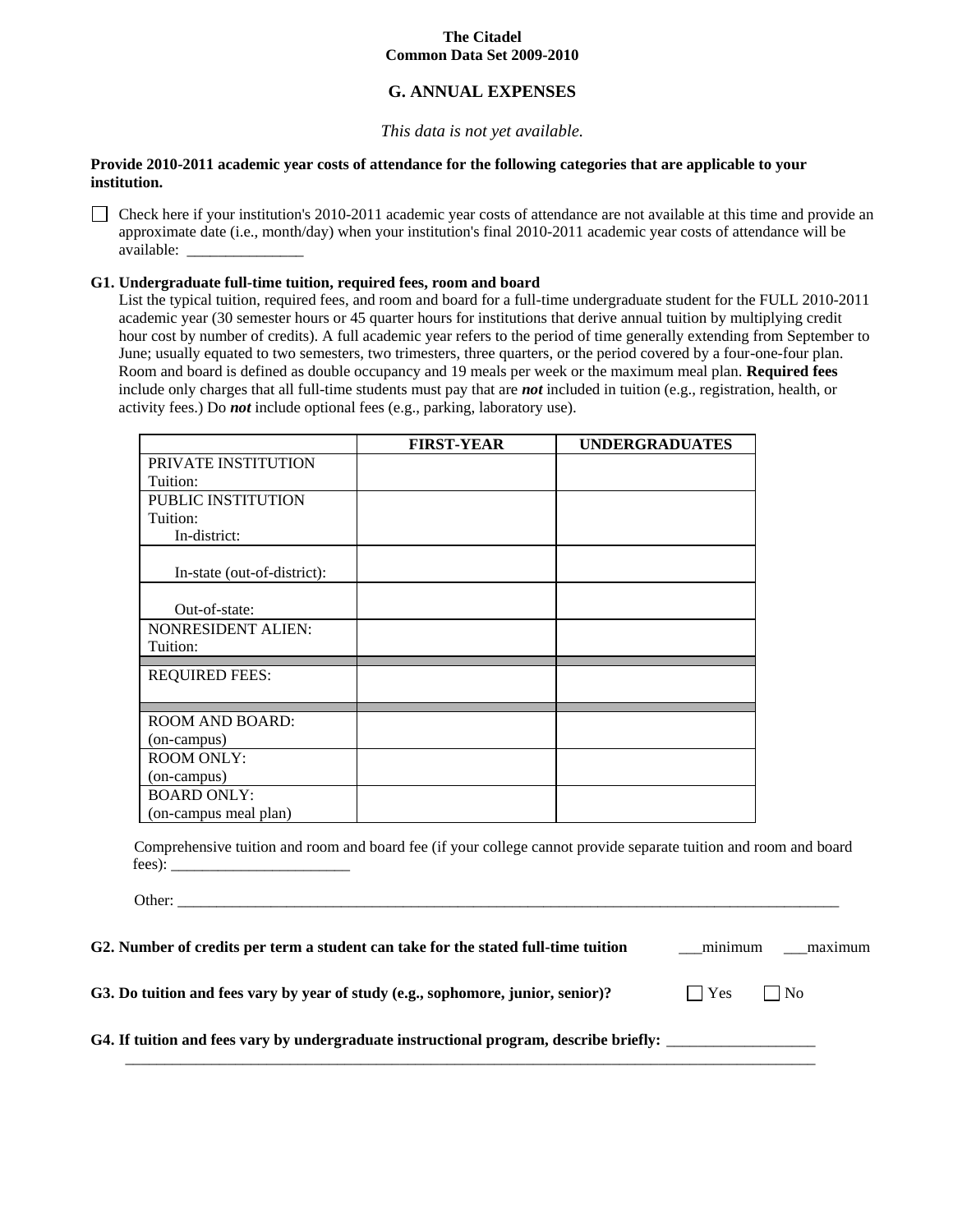# **G. ANNUAL EXPENSES**

## *This data is not yet available.*

#### **Provide 2010-2011 academic year costs of attendance for the following categories that are applicable to your institution.**

 $\Box$  Check here if your institution's 2010-2011 academic year costs of attendance are not available at this time and provide an approximate date (i.e., month/day) when your institution's final 2010-2011 academic year costs of attendance will be available: \_\_\_\_\_\_\_\_\_\_\_\_\_\_\_

## **G1. Undergraduate full-time tuition, required fees, room and board**

Other:

List the typical tuition, required fees, and room and board for a full-time undergraduate student for the FULL 2010-2011 academic year (30 semester hours or 45 quarter hours for institutions that derive annual tuition by multiplying credit hour cost by number of credits). A full academic year refers to the period of time generally extending from September to June; usually equated to two semesters, two trimesters, three quarters, or the period covered by a four-one-four plan. Room and board is defined as double occupancy and 19 meals per week or the maximum meal plan. **Required fees** include only charges that all full-time students must pay that are *not* included in tuition (e.g., registration, health, or activity fees.) Do *not* include optional fees (e.g., parking, laboratory use).

|                             | <b>FIRST-YEAR</b> | <b>UNDERGRADUATES</b> |
|-----------------------------|-------------------|-----------------------|
| PRIVATE INSTITUTION         |                   |                       |
| Tuition:                    |                   |                       |
| PUBLIC INSTITUTION          |                   |                       |
| Tuition:                    |                   |                       |
| In-district:                |                   |                       |
| In-state (out-of-district): |                   |                       |
|                             |                   |                       |
| Out-of-state:               |                   |                       |
| <b>NONRESIDENT ALIEN:</b>   |                   |                       |
| Tuition:                    |                   |                       |
| <b>REQUIRED FEES:</b>       |                   |                       |
| <b>ROOM AND BOARD:</b>      |                   |                       |
| (on-campus)                 |                   |                       |
| <b>ROOM ONLY:</b>           |                   |                       |
| (on-campus)                 |                   |                       |
| <b>BOARD ONLY:</b>          |                   |                       |
| (on-campus meal plan)       |                   |                       |

Comprehensive tuition and room and board fee (if your college cannot provide separate tuition and room and board fees): \_\_\_\_\_\_\_\_\_\_\_\_\_\_\_\_\_\_\_\_\_\_\_

| G2. Number of credits per term a student can take for the stated full-time tuition     | minimum     | maximum   |
|----------------------------------------------------------------------------------------|-------------|-----------|
| G3. Do tuition and fees vary by year of study (e.g., sophomore, junior, senior)?       | $ $ $ $ Yes | $\Box$ No |
| G4. If tuition and fees vary by undergraduate instructional program, describe briefly: |             |           |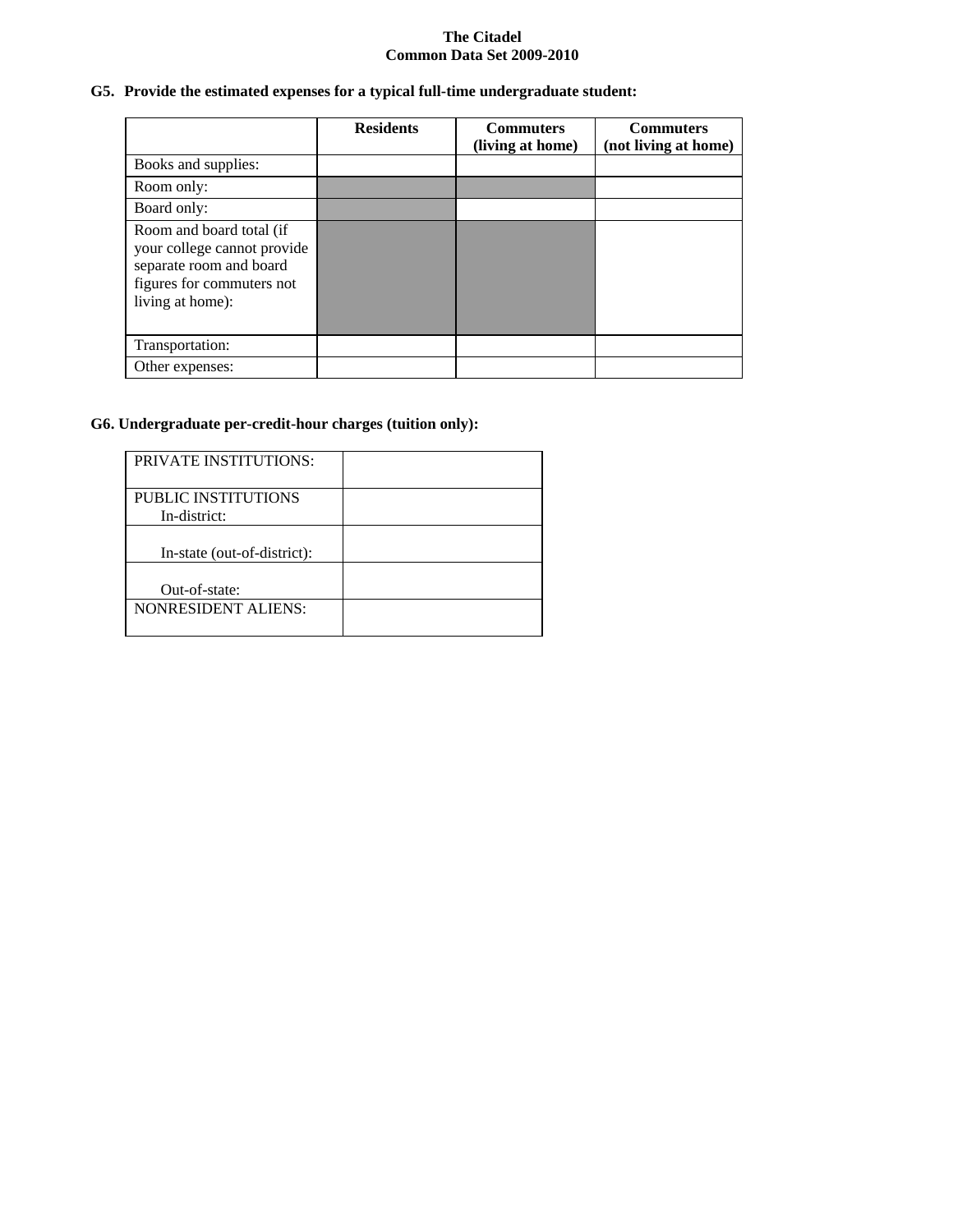# **G5. Provide the estimated expenses for a typical full-time undergraduate student:**

|                                                                                                                                     | <b>Residents</b> | <b>Commuters</b><br>(living at home) | <b>Commuters</b><br>(not living at home) |
|-------------------------------------------------------------------------------------------------------------------------------------|------------------|--------------------------------------|------------------------------------------|
| Books and supplies:                                                                                                                 |                  |                                      |                                          |
|                                                                                                                                     |                  |                                      |                                          |
| Room only:                                                                                                                          |                  |                                      |                                          |
| Board only:                                                                                                                         |                  |                                      |                                          |
| Room and board total (if<br>your college cannot provide<br>separate room and board<br>figures for commuters not<br>living at home): |                  |                                      |                                          |
| Transportation:                                                                                                                     |                  |                                      |                                          |
| Other expenses:                                                                                                                     |                  |                                      |                                          |

# **G6. Undergraduate per-credit-hour charges (tuition only):**

| <b>PRIVATE INSTITUTIONS:</b>        |  |
|-------------------------------------|--|
| PUBLIC INSTITUTIONS<br>In-district: |  |
| In-state (out-of-district):         |  |
| Out-of-state:                       |  |
| <b>NONRESIDENT ALIENS:</b>          |  |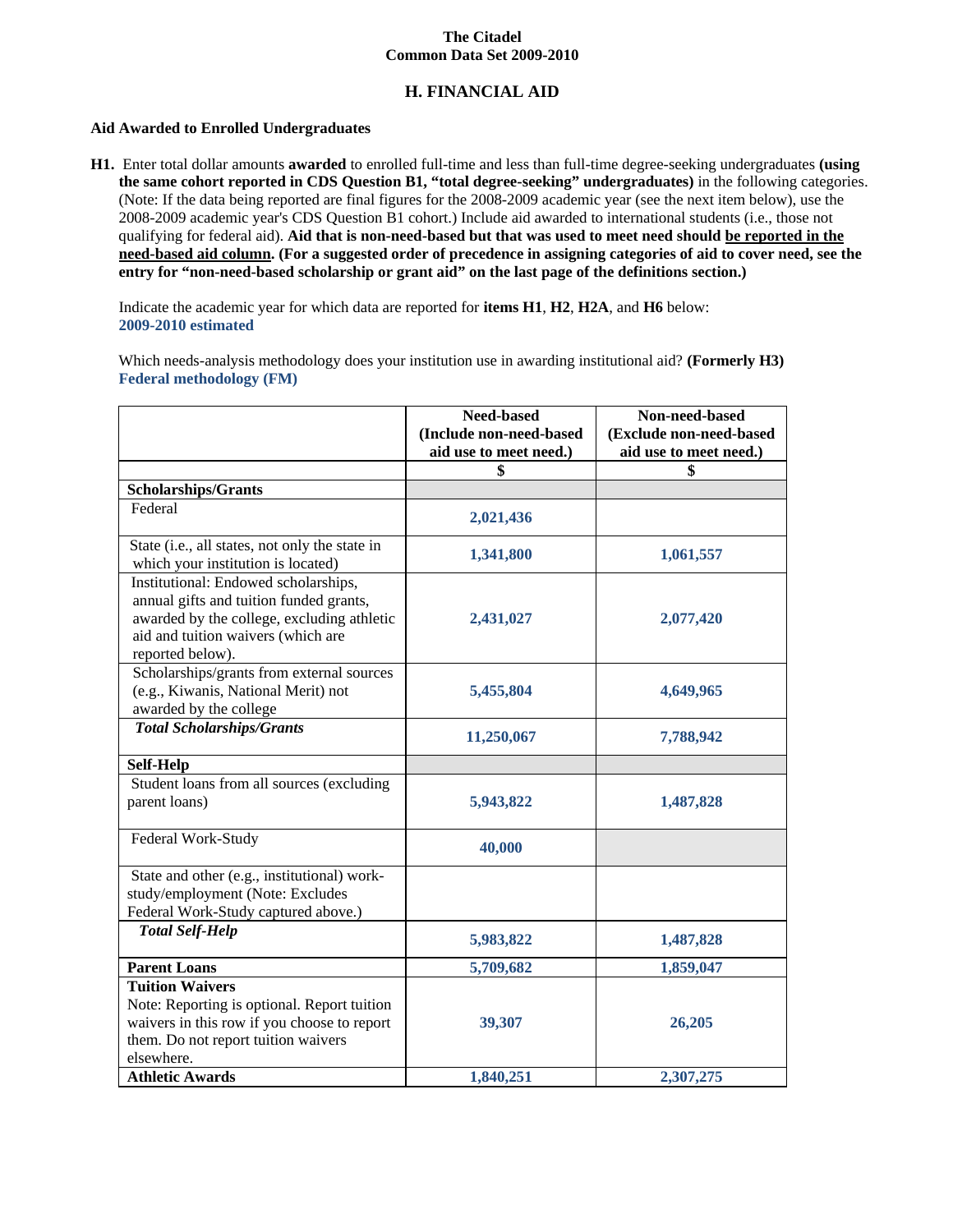# **H. FINANCIAL AID**

#### **Aid Awarded to Enrolled Undergraduates**

**H1.** Enter total dollar amounts **awarded** to enrolled full-time and less than full-time degree-seeking undergraduates **(using the same cohort reported in CDS Question B1, "total degree-seeking" undergraduates)** in the following categories. (Note: If the data being reported are final figures for the 2008-2009 academic year (see the next item below), use the 2008-2009 academic year's CDS Question B1 cohort.) Include aid awarded to international students (i.e., those not qualifying for federal aid). **Aid that is non-need-based but that was used to meet need should be reported in the need-based aid column. (For a suggested order of precedence in assigning categories of aid to cover need, see the entry for "non-need-based scholarship or grant aid" on the last page of the definitions section.)**

Indicate the academic year for which data are reported for **items H1**, **H2**, **H2A**, and **H6** below: **2009-2010 estimated**

Which needs-analysis methodology does your institution use in awarding institutional aid? **(Formerly H3) Federal methodology (FM)**

|                                                                                                                                                                                         | Need-based                                        | Non-need-based                                    |
|-----------------------------------------------------------------------------------------------------------------------------------------------------------------------------------------|---------------------------------------------------|---------------------------------------------------|
|                                                                                                                                                                                         | (Include non-need-based<br>aid use to meet need.) | (Exclude non-need-based<br>aid use to meet need.) |
|                                                                                                                                                                                         | \$                                                | \$                                                |
| <b>Scholarships/Grants</b>                                                                                                                                                              |                                                   |                                                   |
| Federal                                                                                                                                                                                 | 2,021,436                                         |                                                   |
| State (i.e., all states, not only the state in<br>which your institution is located)                                                                                                    | 1,341,800                                         | 1,061,557                                         |
| Institutional: Endowed scholarships,<br>annual gifts and tuition funded grants,<br>awarded by the college, excluding athletic<br>aid and tuition waivers (which are<br>reported below). | 2,431,027                                         | 2,077,420                                         |
| Scholarships/grants from external sources<br>(e.g., Kiwanis, National Merit) not<br>awarded by the college                                                                              | 5,455,804                                         | 4,649,965                                         |
| <b>Total Scholarships/Grants</b>                                                                                                                                                        | 11,250,067                                        | 7,788,942                                         |
| Self-Help                                                                                                                                                                               |                                                   |                                                   |
| Student loans from all sources (excluding<br>parent loans)                                                                                                                              | 5,943,822                                         | 1,487,828                                         |
| Federal Work-Study                                                                                                                                                                      | 40,000                                            |                                                   |
| State and other (e.g., institutional) work-<br>study/employment (Note: Excludes<br>Federal Work-Study captured above.)                                                                  |                                                   |                                                   |
| <b>Total Self-Help</b>                                                                                                                                                                  | 5,983,822                                         | 1,487,828                                         |
| <b>Parent Loans</b>                                                                                                                                                                     | 5,709,682                                         | 1,859,047                                         |
| <b>Tuition Waivers</b><br>Note: Reporting is optional. Report tuition<br>waivers in this row if you choose to report<br>them. Do not report tuition waivers<br>elsewhere.               | 39,307                                            | 26,205                                            |
| <b>Athletic Awards</b>                                                                                                                                                                  | 1,840,251                                         | 2,307,275                                         |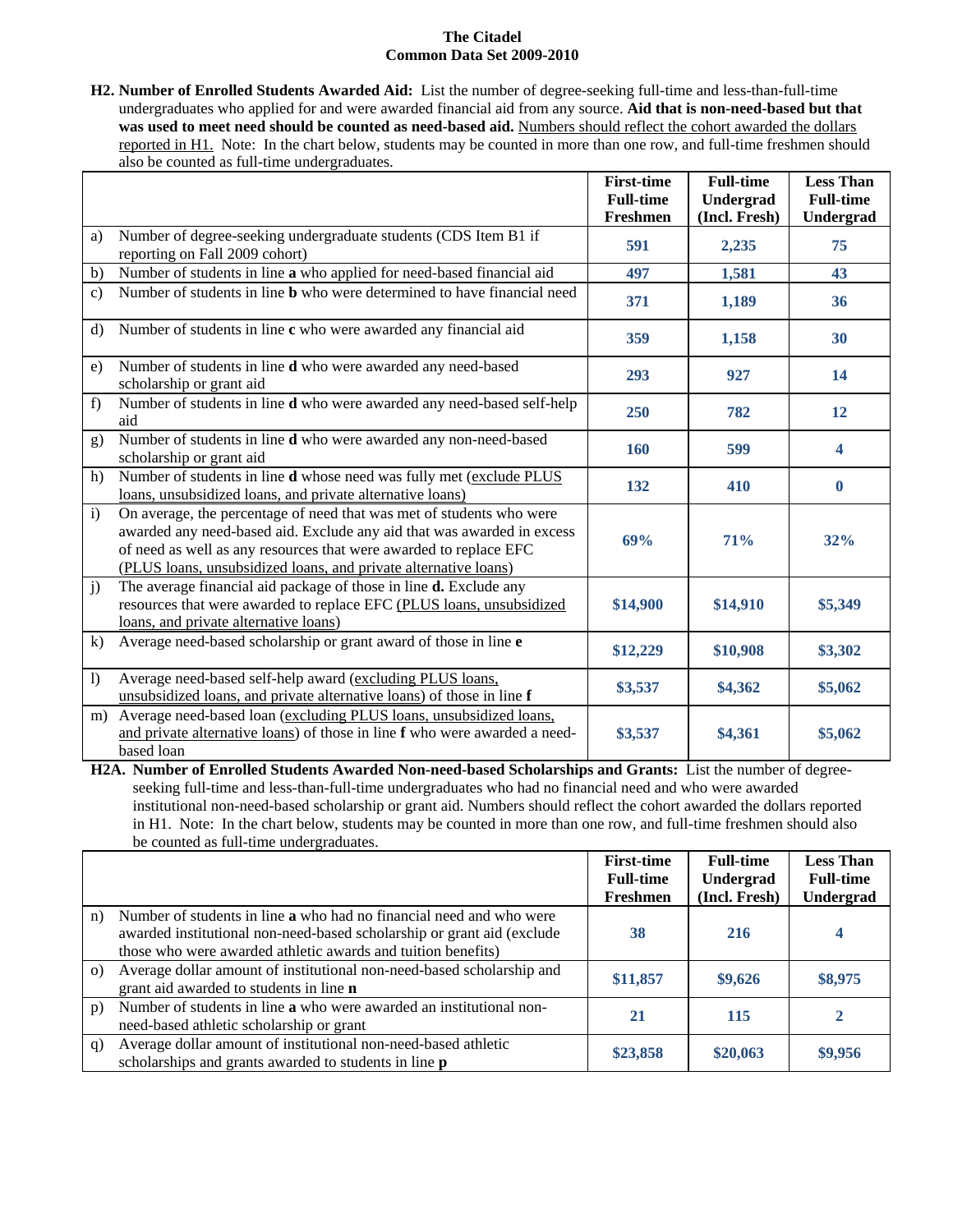**H2. Number of Enrolled Students Awarded Aid:** List the number of degree-seeking full-time and less-than-full-time undergraduates who applied for and were awarded financial aid from any source. **Aid that is non-need-based but that**  was used to meet need should be counted as need-based aid. Numbers should reflect the cohort awarded the dollars reported in H1. Note: In the chart below, students may be counted in more than one row, and full-time freshmen should also be counted as full-time undergraduates.

|                  |                                                                                                                                                                                                                                                                                        | <b>First-time</b><br><b>Full-time</b><br>Freshmen | <b>Full-time</b><br>Undergrad<br>(Incl. Fresh) | <b>Less Than</b><br><b>Full-time</b><br>Undergrad |
|------------------|----------------------------------------------------------------------------------------------------------------------------------------------------------------------------------------------------------------------------------------------------------------------------------------|---------------------------------------------------|------------------------------------------------|---------------------------------------------------|
| a)               | Number of degree-seeking undergraduate students (CDS Item B1 if<br>reporting on Fall 2009 cohort)                                                                                                                                                                                      | 591                                               | 2,235                                          | 75                                                |
| b)               | Number of students in line a who applied for need-based financial aid                                                                                                                                                                                                                  | 497                                               | 1,581                                          | 43                                                |
| $\mathbf{c}$     | Number of students in line <b>b</b> who were determined to have financial need                                                                                                                                                                                                         | 371                                               | 1,189                                          | 36                                                |
| d)               | Number of students in line c who were awarded any financial aid                                                                                                                                                                                                                        | 359                                               | 1,158                                          | 30                                                |
| e)               | Number of students in line d who were awarded any need-based<br>scholarship or grant aid                                                                                                                                                                                               | 293                                               | 927                                            | 14                                                |
| f)               | Number of students in line d who were awarded any need-based self-help<br>aid                                                                                                                                                                                                          | 250                                               | 782                                            | 12                                                |
| g)               | Number of students in line d who were awarded any non-need-based<br>scholarship or grant aid                                                                                                                                                                                           | 160                                               | 599                                            | 4                                                 |
| h)               | Number of students in line d whose need was fully met (exclude PLUS<br>loans, unsubsidized loans, and private alternative loans)                                                                                                                                                       | 132                                               | 410                                            | $\mathbf{0}$                                      |
| i)               | On average, the percentage of need that was met of students who were<br>awarded any need-based aid. Exclude any aid that was awarded in excess<br>of need as well as any resources that were awarded to replace EFC<br>(PLUS loans, unsubsidized loans, and private alternative loans) | 69%                                               | 71%                                            | 32%                                               |
| j)               | The average financial aid package of those in line <b>d.</b> Exclude any<br>resources that were awarded to replace EFC (PLUS loans, unsubsidized<br>loans, and private alternative loans)                                                                                              | \$14,900                                          | \$14,910                                       | \$5,349                                           |
| $\bf k$          | Average need-based scholarship or grant award of those in line e                                                                                                                                                                                                                       | \$12,229                                          | \$10,908                                       | \$3,302                                           |
| $\left( \right)$ | Average need-based self-help award (excluding PLUS loans,<br>unsubsidized loans, and private alternative loans) of those in line f                                                                                                                                                     | \$3,537                                           | \$4,362                                        | \$5,062                                           |
| m)               | Average need-based loan (excluding PLUS loans, unsubsidized loans,<br>and private alternative loans) of those in line f who were awarded a need-<br>based loan                                                                                                                         | \$3,537                                           | \$4,361                                        | \$5,062                                           |

**H2A. Number of Enrolled Students Awarded Non-need-based Scholarships and Grants:** List the number of degreeseeking full-time and less-than-full-time undergraduates who had no financial need and who were awarded institutional non-need-based scholarship or grant aid. Numbers should reflect the cohort awarded the dollars reported in H1. Note: In the chart below, students may be counted in more than one row, and full-time freshmen should also be counted as full-time undergraduates.

|          |                                                                                                                                                                                                                      | <b>First-time</b><br><b>Full-time</b> | <b>Full-time</b><br>Undergrad | <b>Less Than</b><br><b>Full-time</b> |
|----------|----------------------------------------------------------------------------------------------------------------------------------------------------------------------------------------------------------------------|---------------------------------------|-------------------------------|--------------------------------------|
|          |                                                                                                                                                                                                                      | Freshmen                              | (Incl. Fresh)                 | Undergrad                            |
| n)       | Number of students in line <b>a</b> who had no financial need and who were<br>awarded institutional non-need-based scholarship or grant aid (exclude<br>those who were awarded athletic awards and tuition benefits) | 38                                    | 216                           |                                      |
| $\Omega$ | Average dollar amount of institutional non-need-based scholarship and<br>grant aid awarded to students in line <b>n</b>                                                                                              | \$11,857                              | \$9,626                       | \$8,975                              |
| p)       | Number of students in line a who were awarded an institutional non-<br>need-based athletic scholarship or grant                                                                                                      | 21                                    | 115                           |                                      |
| q)       | Average dollar amount of institutional non-need-based athletic<br>scholarships and grants awarded to students in line <b>p</b>                                                                                       | \$23,858                              | \$20,063                      | \$9,956                              |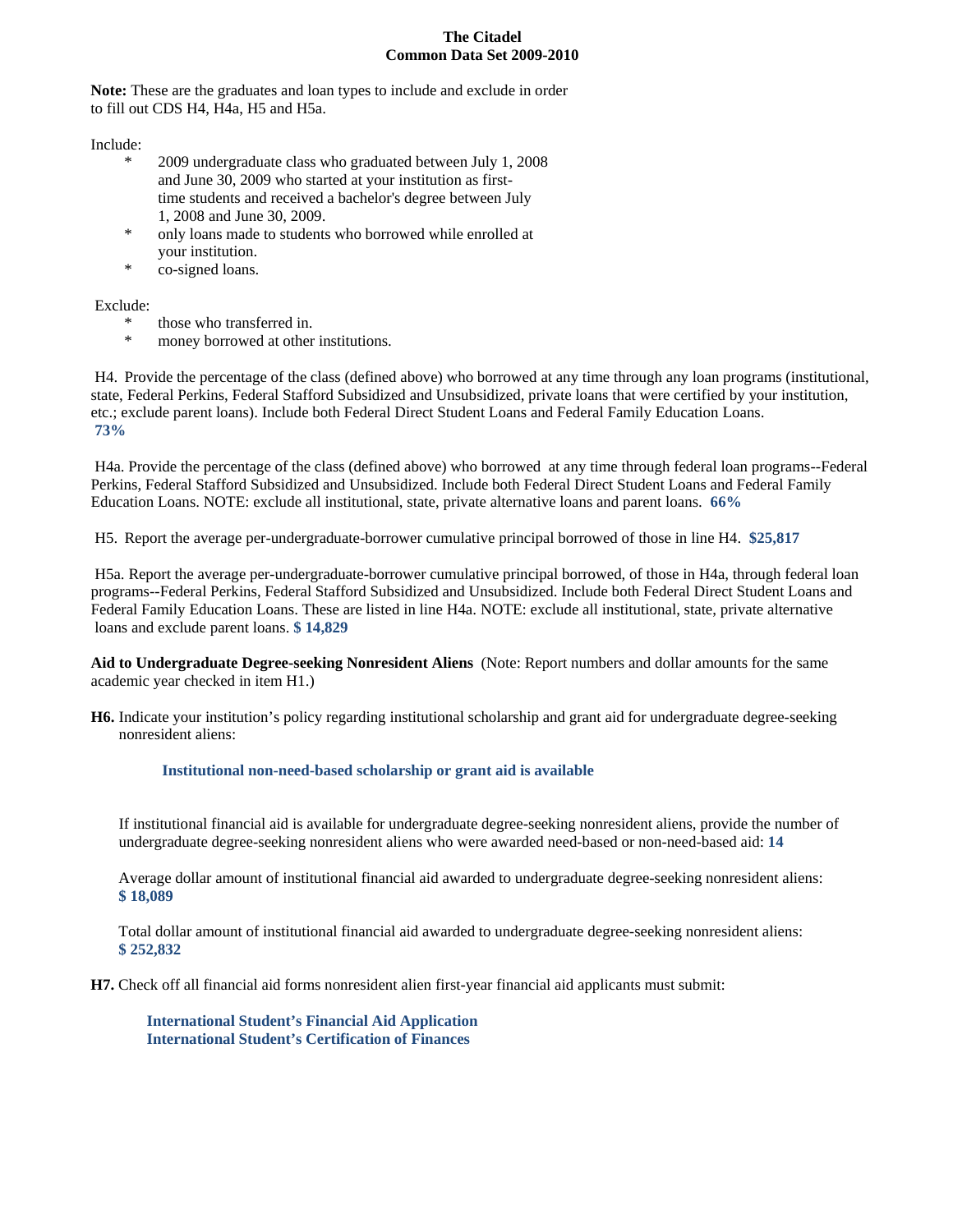**Note:** These are the graduates and loan types to include and exclude in order to fill out CDS H4, H4a, H5 and H5a.

Include:

- 2009 undergraduate class who graduated between July 1, 2008 and June 30, 2009 who started at your institution as firsttime students and received a bachelor's degree between July 1, 2008 and June 30, 2009.
- \* only loans made to students who borrowed while enrolled at your institution.
- \* co-signed loans.

Exclude:

- \* those who transferred in.
- \* money borrowed at other institutions.

H4. Provide the percentage of the class (defined above) who borrowed at any time through any loan programs (institutional, state, Federal Perkins, Federal Stafford Subsidized and Unsubsidized, private loans that were certified by your institution, etc.; exclude parent loans). Include both Federal Direct Student Loans and Federal Family Education Loans. **73%**

H4a. Provide the percentage of the class (defined above) who borrowed at any time through federal loan programs--Federal Perkins, Federal Stafford Subsidized and Unsubsidized. Include both Federal Direct Student Loans and Federal Family Education Loans. NOTE: exclude all institutional, state, private alternative loans and parent loans. **66%**

H5. Report the average per-undergraduate-borrower cumulative principal borrowed of those in line H4. **\$25,817**

H5a. Report the average per-undergraduate-borrower cumulative principal borrowed, of those in H4a, through federal loan programs--Federal Perkins, Federal Stafford Subsidized and Unsubsidized. Include both Federal Direct Student Loans and Federal Family Education Loans. These are listed in line H4a. NOTE: exclude all institutional, state, private alternative loans and exclude parent loans. **\$ 14,829**

**Aid to Undergraduate Degree-seeking Nonresident Aliens** (Note: Report numbers and dollar amounts for the same academic year checked in item H1.)

**H6.** Indicate your institution's policy regarding institutional scholarship and grant aid for undergraduate degree-seeking nonresident aliens:

**Institutional non-need-based scholarship or grant aid is available**

If institutional financial aid is available for undergraduate degree-seeking nonresident aliens, provide the number of undergraduate degree-seeking nonresident aliens who were awarded need-based or non-need-based aid: **14**

Average dollar amount of institutional financial aid awarded to undergraduate degree-seeking nonresident aliens: **\$ 18,089**

Total dollar amount of institutional financial aid awarded to undergraduate degree-seeking nonresident aliens: **\$ 252,832**

**H7.** Check off all financial aid forms nonresident alien first-year financial aid applicants must submit:

**International Student's Financial Aid Application International Student's Certification of Finances**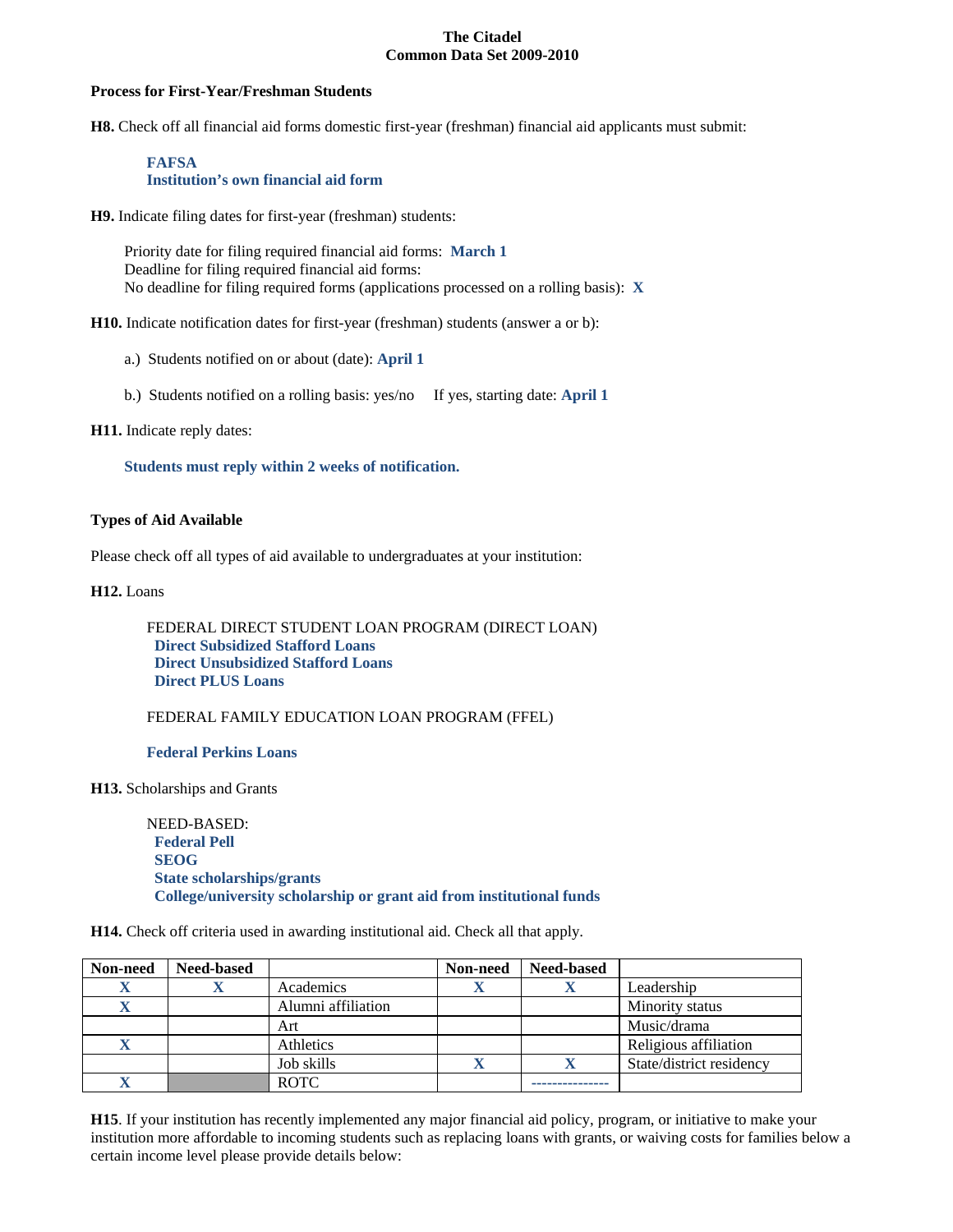#### **Process for First-Year/Freshman Students**

**H8.** Check off all financial aid forms domestic first-year (freshman) financial aid applicants must submit:

#### **FAFSA Institution's own financial aid form**

**H9.** Indicate filing dates for first-year (freshman) students:

Priority date for filing required financial aid forms: **March 1** Deadline for filing required financial aid forms: No deadline for filing required forms (applications processed on a rolling basis): **X**

**H10.** Indicate notification dates for first-year (freshman) students (answer a or b):

- a.) Students notified on or about (date): **April 1**
- b.) Students notified on a rolling basis: yes/no If yes, starting date: **April 1**

**H11.** Indicate reply dates:

**Students must reply within 2 weeks of notification.**

#### **Types of Aid Available**

Please check off all types of aid available to undergraduates at your institution:

**H12.** Loans

FEDERAL DIRECT STUDENT LOAN PROGRAM (DIRECT LOAN)  **Direct Subsidized Stafford Loans Direct Unsubsidized Stafford Loans Direct PLUS Loans**

FEDERAL FAMILY EDUCATION LOAN PROGRAM (FFEL)

**Federal Perkins Loans**

**H13.** Scholarships and Grants

NEED-BASED:  **Federal Pell SEOG State scholarships/grants College/university scholarship or grant aid from institutional funds**

**H14.** Check off criteria used in awarding institutional aid. Check all that apply.

| Non-need | <b>Need-based</b> |                    | Non-need | <b>Need-based</b> |                          |
|----------|-------------------|--------------------|----------|-------------------|--------------------------|
|          |                   | Academics          |          |                   | Leadership               |
|          |                   | Alumni affiliation |          |                   | Minority status          |
|          |                   | Art                |          |                   | Music/drama              |
|          |                   | Athletics          |          |                   | Religious affiliation    |
|          |                   | Job skills         |          |                   | State/district residency |
|          |                   | <b>ROTC</b>        |          |                   |                          |

**H15**. If your institution has recently implemented any major financial aid policy, program, or initiative to make your institution more affordable to incoming students such as replacing loans with grants, or waiving costs for families below a certain income level please provide details below: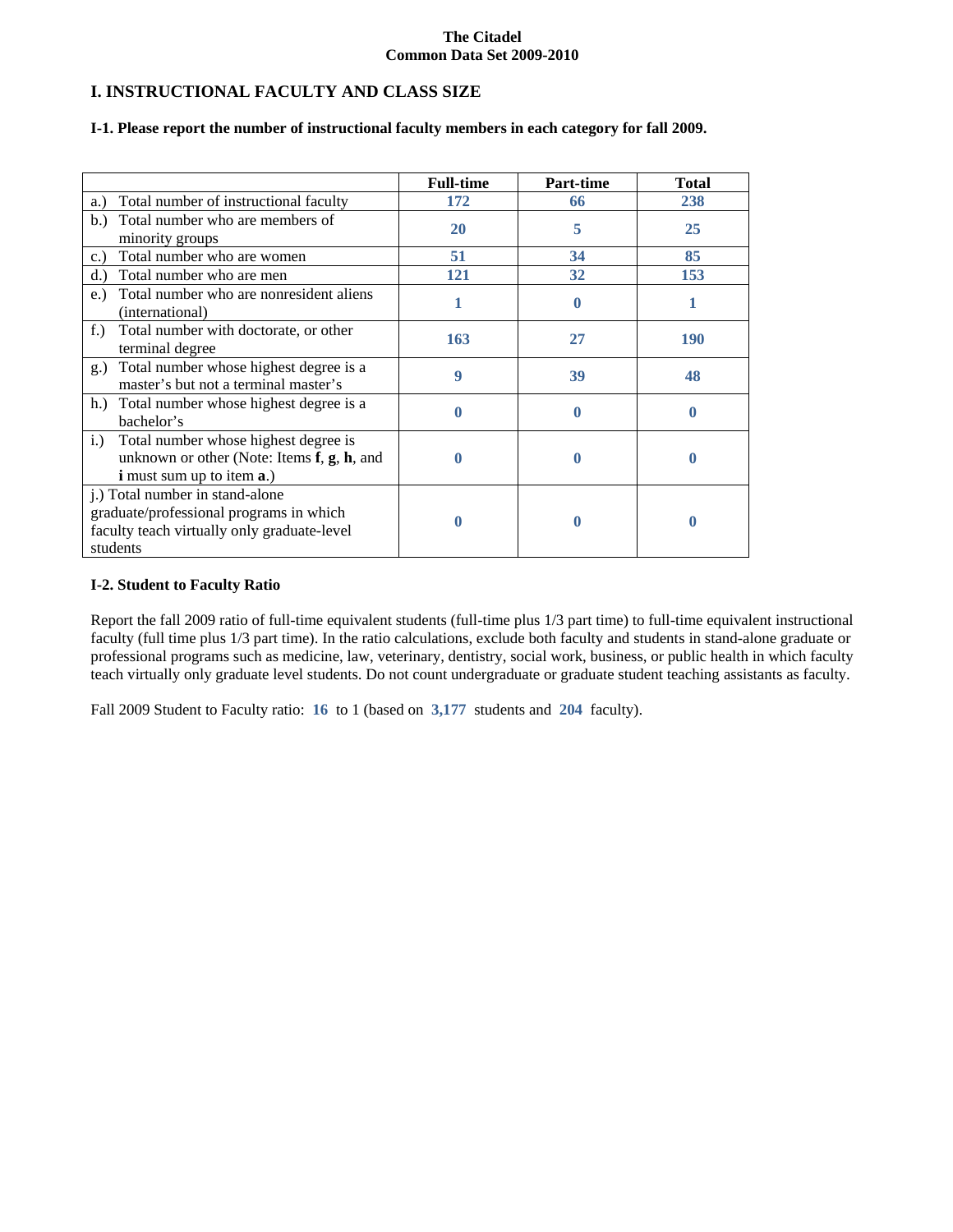## **I. INSTRUCTIONAL FACULTY AND CLASS SIZE**

#### **I-1. Please report the number of instructional faculty members in each category for fall 2009.**

|                                                                                                                                       | <b>Full-time</b> | Part-time | <b>Total</b> |
|---------------------------------------------------------------------------------------------------------------------------------------|------------------|-----------|--------------|
| Total number of instructional faculty<br>a.)                                                                                          | 172              | 66        | 238          |
| Total number who are members of<br>b.<br>minority groups                                                                              | <b>20</b>        | 5         | 25           |
| Total number who are women<br>c.                                                                                                      | 51               | 34        | 85           |
| Total number who are men<br>d.                                                                                                        | 121              | 32        | 153          |
| Total number who are nonresident aliens<br>$e$ .<br>(international)                                                                   |                  | 0         |              |
| Total number with doctorate, or other<br>$f$ .)<br>terminal degree                                                                    | 163              | 27        | <b>190</b>   |
| Total number whose highest degree is a<br>$g_{\cdot}$<br>master's but not a terminal master's                                         | 9                | 39        | 48           |
| h.) Total number whose highest degree is a<br>bachelor's                                                                              |                  |           |              |
| Total number whose highest degree is<br>i.)<br>unknown or other (Note: Items f, g, h, and<br><b>i</b> must sum up to item <b>a</b> .) |                  | 0         | 0            |
| j.) Total number in stand-alone<br>graduate/professional programs in which<br>faculty teach virtually only graduate-level<br>students |                  |           |              |

#### **I-2. Student to Faculty Ratio**

Report the fall 2009 ratio of full-time equivalent students (full-time plus 1/3 part time) to full-time equivalent instructional faculty (full time plus 1/3 part time). In the ratio calculations, exclude both faculty and students in stand-alone graduate or professional programs such as medicine, law, veterinary, dentistry, social work, business, or public health in which faculty teach virtually only graduate level students. Do not count undergraduate or graduate student teaching assistants as faculty.

Fall 2009 Student to Faculty ratio: **16** to 1 (based on **3,177** students and **204** faculty).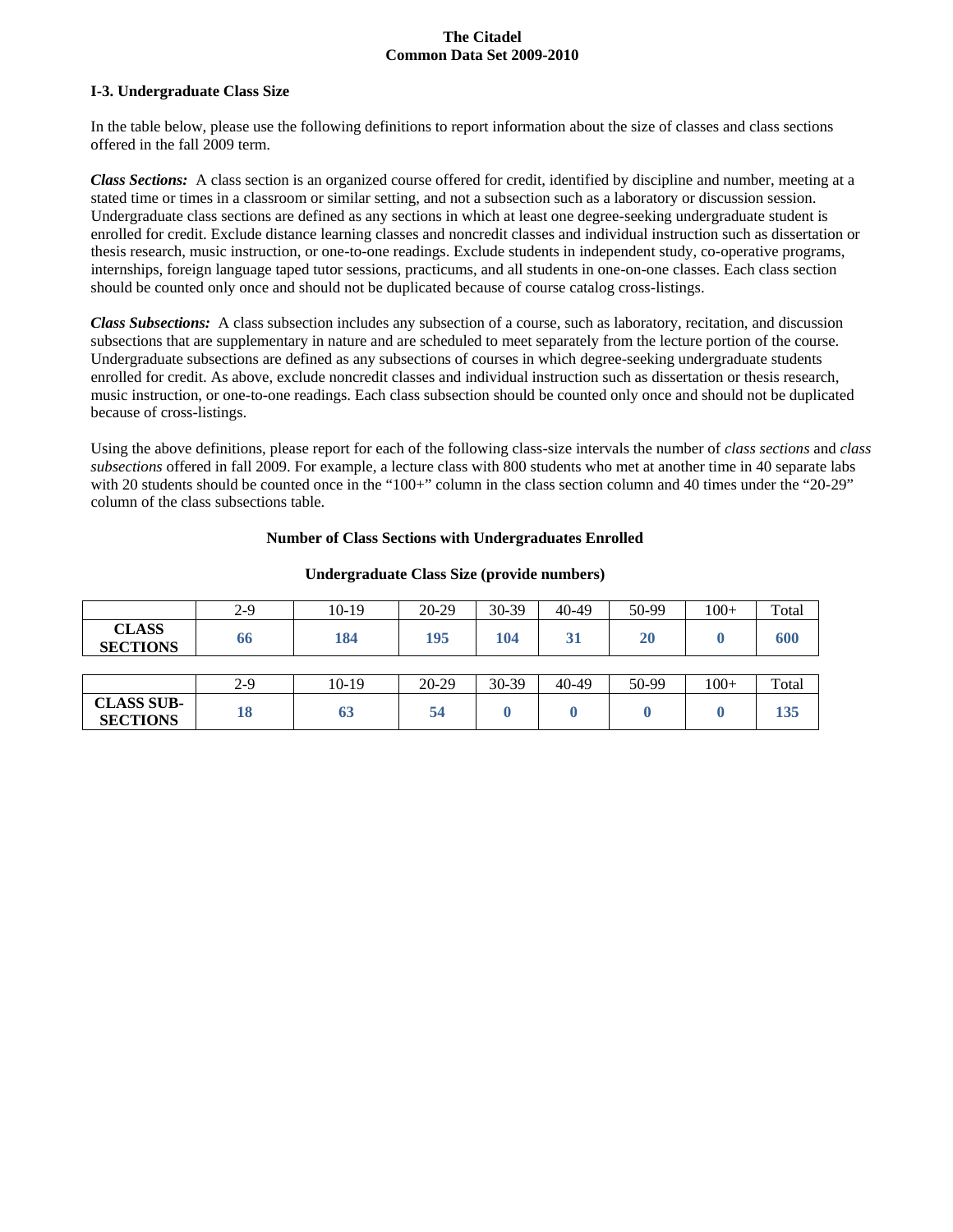#### **I-3. Undergraduate Class Size**

In the table below, please use the following definitions to report information about the size of classes and class sections offered in the fall 2009 term.

*Class Sections:* A class section is an organized course offered for credit, identified by discipline and number, meeting at a stated time or times in a classroom or similar setting, and not a subsection such as a laboratory or discussion session. Undergraduate class sections are defined as any sections in which at least one degree-seeking undergraduate student is enrolled for credit. Exclude distance learning classes and noncredit classes and individual instruction such as dissertation or thesis research, music instruction, or one-to-one readings. Exclude students in independent study, co-operative programs, internships, foreign language taped tutor sessions, practicums, and all students in one-on-one classes. Each class section should be counted only once and should not be duplicated because of course catalog cross-listings.

*Class Subsections:* A class subsection includes any subsection of a course, such as laboratory, recitation, and discussion subsections that are supplementary in nature and are scheduled to meet separately from the lecture portion of the course. Undergraduate subsections are defined as any subsections of courses in which degree-seeking undergraduate students enrolled for credit. As above, exclude noncredit classes and individual instruction such as dissertation or thesis research, music instruction, or one-to-one readings. Each class subsection should be counted only once and should not be duplicated because of cross-listings.

Using the above definitions, please report for each of the following class-size intervals the number of *class sections* and *class subsections* offered in fall 2009. For example, a lecture class with 800 students who met at another time in 40 separate labs with 20 students should be counted once in the "100+" column in the class section column and 40 times under the "20-29" column of the class subsections table.

#### **Number of Class Sections with Undergraduates Enrolled**

|                                      | 2-9 | $10-19$ | 20-29 | 30-39 | 40-49 | 50-99 | $100+$ | Total |
|--------------------------------------|-----|---------|-------|-------|-------|-------|--------|-------|
| <b>CLASS</b><br><b>SECTIONS</b>      | 66  | 184     | 195   | 104   | 31    | 20    |        | 600   |
|                                      |     |         |       |       |       |       |        |       |
|                                      | 2-9 | 10-19   | 20-29 | 30-39 | 40-49 | 50-99 | $100+$ | Total |
| <b>CLASS SUB-</b><br><b>SECTIONS</b> | 18  | 63      | 54    |       |       |       |        | 135   |

#### **Undergraduate Class Size (provide numbers)**